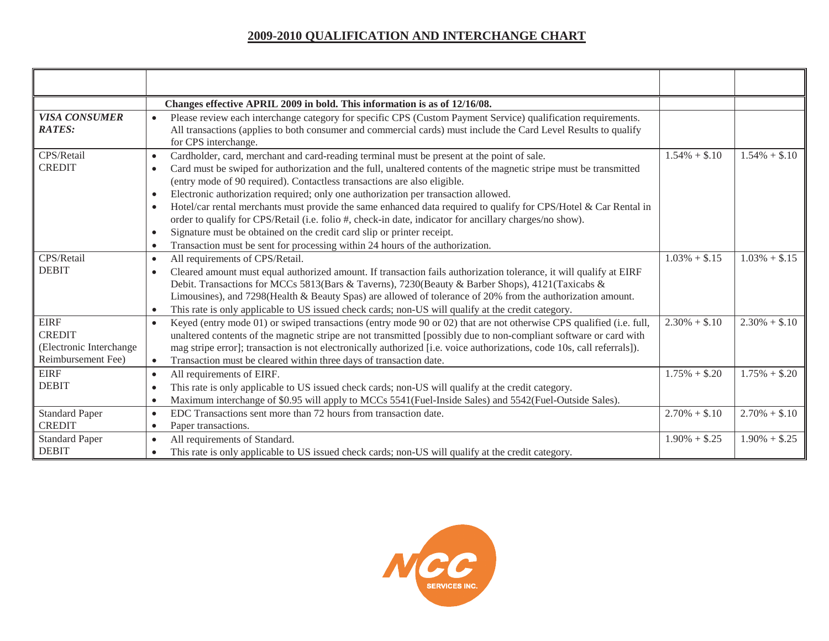|                                                                               | Changes effective APRIL 2009 in bold. This information is as of 12/16/08.                                                                                                                                                                                                                                                                                                                                                                                                                                                                                                                                                                                                                                                                                                                                                                    |                 |                 |
|-------------------------------------------------------------------------------|----------------------------------------------------------------------------------------------------------------------------------------------------------------------------------------------------------------------------------------------------------------------------------------------------------------------------------------------------------------------------------------------------------------------------------------------------------------------------------------------------------------------------------------------------------------------------------------------------------------------------------------------------------------------------------------------------------------------------------------------------------------------------------------------------------------------------------------------|-----------------|-----------------|
| <b>VISA CONSUMER</b><br><b>RATES:</b>                                         | Please review each interchange category for specific CPS (Custom Payment Service) qualification requirements.<br>All transactions (applies to both consumer and commercial cards) must include the Card Level Results to qualify<br>for CPS interchange.                                                                                                                                                                                                                                                                                                                                                                                                                                                                                                                                                                                     |                 |                 |
| CPS/Retail<br><b>CREDIT</b>                                                   | Cardholder, card, merchant and card-reading terminal must be present at the point of sale.<br>$\bullet$<br>Card must be swiped for authorization and the full, unaltered contents of the magnetic stripe must be transmitted<br>$\bullet$<br>(entry mode of 90 required). Contactless transactions are also eligible.<br>Electronic authorization required; only one authorization per transaction allowed.<br>$\bullet$<br>Hotel/car rental merchants must provide the same enhanced data required to qualify for CPS/Hotel & Car Rental in<br>$\bullet$<br>order to qualify for CPS/Retail (i.e. folio #, check-in date, indicator for ancillary charges/no show).<br>Signature must be obtained on the credit card slip or printer receipt.<br>Transaction must be sent for processing within 24 hours of the authorization.<br>$\bullet$ | $1.54\% + $.10$ | $1.54\% + $.10$ |
| CPS/Retail<br><b>DEBIT</b>                                                    | All requirements of CPS/Retail.<br>$\bullet$<br>Cleared amount must equal authorized amount. If transaction fails authorization tolerance, it will qualify at EIRF<br>$\bullet$<br>Debit. Transactions for MCCs 5813(Bars & Taverns), 7230(Beauty & Barber Shops), 4121(Taxicabs &<br>Limousines), and 7298(Health & Beauty Spas) are allowed of tolerance of 20% from the authorization amount.<br>This rate is only applicable to US issued check cards; non-US will qualify at the credit category.                                                                                                                                                                                                                                                                                                                                       | $1.03\% + $.15$ | $1.03\% + $.15$ |
| <b>EIRF</b><br><b>CREDIT</b><br>(Electronic Interchange<br>Reimbursement Fee) | Keyed (entry mode 01) or swiped transactions (entry mode 90 or 02) that are not otherwise CPS qualified (i.e. full,<br>$\bullet$<br>unaltered contents of the magnetic stripe are not transmitted [possibly due to non-compliant software or card with<br>mag stripe error]; transaction is not electronically authorized [i.e. voice authorizations, code 10s, call referrals]).<br>Transaction must be cleared within three days of transaction date.<br>$\bullet$                                                                                                                                                                                                                                                                                                                                                                         | $2.30\% + $.10$ | $2.30\% + $.10$ |
| <b>EIRF</b><br><b>DEBIT</b>                                                   | All requirements of EIRF.<br>$\bullet$<br>This rate is only applicable to US issued check cards; non-US will qualify at the credit category.<br>$\bullet$<br>Maximum interchange of \$0.95 will apply to MCCs 5541(Fuel-Inside Sales) and 5542(Fuel-Outside Sales).                                                                                                                                                                                                                                                                                                                                                                                                                                                                                                                                                                          | $1.75\% + $.20$ | $1.75\% + $.20$ |
| <b>Standard Paper</b><br><b>CREDIT</b>                                        | EDC Transactions sent more than 72 hours from transaction date.<br>$\bullet$<br>Paper transactions.<br>$\bullet$                                                                                                                                                                                                                                                                                                                                                                                                                                                                                                                                                                                                                                                                                                                             | $2.70\% + $.10$ | $2.70\% + $.10$ |
| <b>Standard Paper</b><br><b>DEBIT</b>                                         | All requirements of Standard.<br>$\bullet$<br>This rate is only applicable to US issued check cards; non-US will qualify at the credit category.                                                                                                                                                                                                                                                                                                                                                                                                                                                                                                                                                                                                                                                                                             | $1.90\% + $.25$ | $1.90\% + $.25$ |

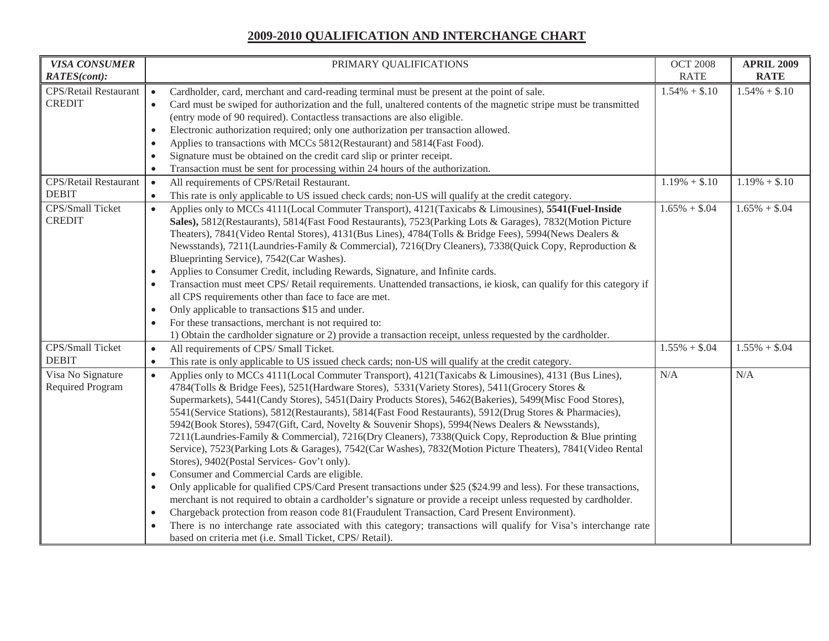| <b>VISA CONSUMER</b>         | PRIMARY QUALIFICATIONS                                                                                                         | <b>OCT 2008</b> | <b>APRIL 2009</b> |
|------------------------------|--------------------------------------------------------------------------------------------------------------------------------|-----------------|-------------------|
| <b>RATES(cont):</b>          |                                                                                                                                | <b>RATE</b>     | <b>RATE</b>       |
| <b>CPS/Retail Restaurant</b> | Cardholder, card, merchant and card-reading terminal must be present at the point of sale.<br>$\bullet$                        | $1.54\% + $.10$ | $1.54\% + $.10$   |
| <b>CREDIT</b>                | Card must be swiped for authorization and the full, unaltered contents of the magnetic stripe must be transmitted<br>$\bullet$ |                 |                   |
|                              | (entry mode of 90 required). Contactless transactions are also eligible.                                                       |                 |                   |
|                              | Electronic authorization required; only one authorization per transaction allowed.<br>$\bullet$                                |                 |                   |
|                              | Applies to transactions with MCCs 5812(Restaurant) and 5814(Fast Food).<br>$\bullet$                                           |                 |                   |
|                              | Signature must be obtained on the credit card slip or printer receipt.<br>$\bullet$                                            |                 |                   |
|                              | Transaction must be sent for processing within 24 hours of the authorization.<br>$\bullet$                                     |                 |                   |
| <b>CPS/Retail Restaurant</b> | All requirements of CPS/Retail Restaurant.<br>$\bullet$                                                                        | $1.19\% + $.10$ | $1.19\% + $.10$   |
| <b>DEBIT</b>                 | This rate is only applicable to US issued check cards; non-US will qualify at the credit category.<br>$\bullet$                |                 |                   |
| CPS/Small Ticket             | Applies only to MCCs 4111(Local Commuter Transport), 4121(Taxicabs & Limousines), 5541(Fuel-Inside<br>$\bullet$                | $1.65\% + $.04$ | $1.65\% + $.04$   |
| <b>CREDIT</b>                | Sales), 5812(Restaurants), 5814(Fast Food Restaurants), 7523(Parking Lots & Garages), 7832(Motion Picture                      |                 |                   |
|                              | Theaters), 7841(Video Rental Stores), 4131(Bus Lines), 4784(Tolls & Bridge Fees), 5994(News Dealers &                          |                 |                   |
|                              | Newsstands), 7211(Laundries-Family & Commercial), 7216(Dry Cleaners), 7338(Quick Copy, Reproduction &                          |                 |                   |
|                              | Blueprinting Service), 7542(Car Washes).                                                                                       |                 |                   |
|                              | Applies to Consumer Credit, including Rewards, Signature, and Infinite cards.                                                  |                 |                   |
|                              | Transaction must meet CPS/Retail requirements. Unattended transactions, ie kiosk, can qualify for this category if             |                 |                   |
|                              | all CPS requirements other than face to face are met.                                                                          |                 |                   |
|                              | Only applicable to transactions \$15 and under.<br>$\bullet$                                                                   |                 |                   |
|                              | For these transactions, merchant is not required to:                                                                           |                 |                   |
|                              | 1) Obtain the cardholder signature or 2) provide a transaction receipt, unless requested by the cardholder.                    |                 |                   |
| CPS/Small Ticket             | All requirements of CPS/ Small Ticket.<br>$\bullet$                                                                            | $1.55\% + $.04$ | $1.55\% + $.04$   |
| <b>DEBIT</b>                 | This rate is only applicable to US issued check cards; non-US will qualify at the credit category.                             |                 |                   |
| Visa No Signature            | Applies only to MCCs 4111(Local Commuter Transport), 4121(Taxicabs & Limousines), 4131 (Bus Lines),<br>$\bullet$               | N/A             | N/A               |
| Required Program             | 4784(Tolls & Bridge Fees), 5251(Hardware Stores), 5331(Variety Stores), 5411(Grocery Stores &                                  |                 |                   |
|                              | Supermarkets), 5441(Candy Stores), 5451(Dairy Products Stores), 5462(Bakeries), 5499(Misc Food Stores),                        |                 |                   |
|                              | 5541 (Service Stations), 5812 (Restaurants), 5814 (Fast Food Restaurants), 5912 (Drug Stores & Pharmacies),                    |                 |                   |
|                              | 5942(Book Stores), 5947(Gift, Card, Novelty & Souvenir Shops), 5994(News Dealers & Newsstands),                                |                 |                   |
|                              | 7211(Laundries-Family & Commercial), 7216(Dry Cleaners), 7338(Quick Copy, Reproduction & Blue printing                         |                 |                   |
|                              | Service), 7523(Parking Lots & Garages), 7542(Car Washes), 7832(Motion Picture Theaters), 7841(Video Rental                     |                 |                   |
|                              | Stores), 9402(Postal Services- Gov't only).                                                                                    |                 |                   |
|                              | Consumer and Commercial Cards are eligible.<br>٠                                                                               |                 |                   |
|                              | Only applicable for qualified CPS/Card Present transactions under \$25 (\$24.99 and less). For these transactions,             |                 |                   |
|                              | merchant is not required to obtain a cardholder's signature or provide a receipt unless requested by cardholder.               |                 |                   |
|                              | Chargeback protection from reason code 81(Fraudulent Transaction, Card Present Environment).                                   |                 |                   |
|                              | There is no interchange rate associated with this category; transactions will qualify for Visa's interchange rate              |                 |                   |
|                              | based on criteria met (i.e. Small Ticket, CPS/ Retail).                                                                        |                 |                   |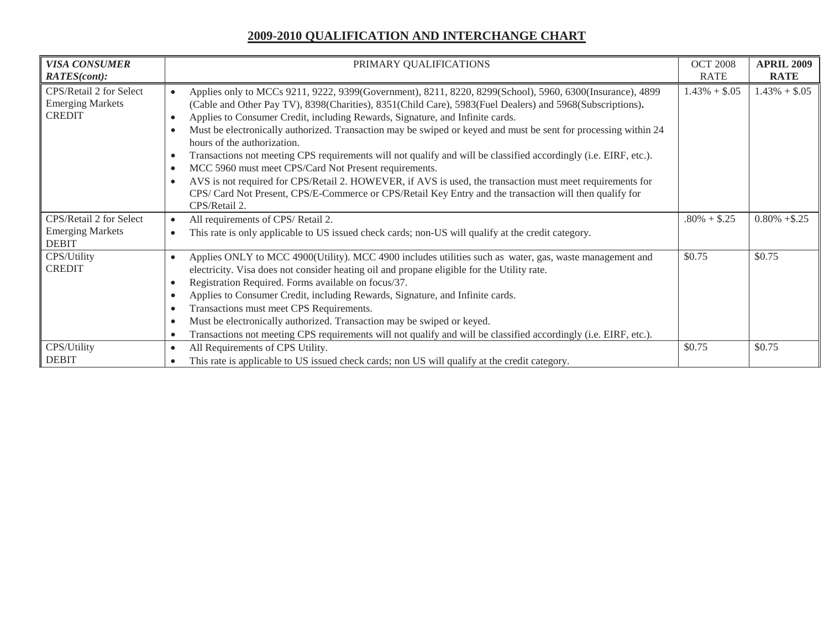| <b>VISA CONSUMER</b>                                                | PRIMARY QUALIFICATIONS                                                                                                                                                                                                                                                                                                                                                                                                                                                                                                                                                                                                                                                                                                                                                                                                                                                                                               | <b>OCT 2008</b> | <b>APRIL 2009</b> |
|---------------------------------------------------------------------|----------------------------------------------------------------------------------------------------------------------------------------------------------------------------------------------------------------------------------------------------------------------------------------------------------------------------------------------------------------------------------------------------------------------------------------------------------------------------------------------------------------------------------------------------------------------------------------------------------------------------------------------------------------------------------------------------------------------------------------------------------------------------------------------------------------------------------------------------------------------------------------------------------------------|-----------------|-------------------|
| <b>RATES(cont):</b>                                                 |                                                                                                                                                                                                                                                                                                                                                                                                                                                                                                                                                                                                                                                                                                                                                                                                                                                                                                                      | RATE            | <b>RATE</b>       |
| CPS/Retail 2 for Select<br><b>Emerging Markets</b><br><b>CREDIT</b> | Applies only to MCCs 9211, 9222, 9399(Government), 8211, 8220, 8299(School), 5960, 6300(Insurance), 4899<br>(Cable and Other Pay TV), 8398(Charities), 8351(Child Care), 5983(Fuel Dealers) and 5968(Subscriptions).<br>Applies to Consumer Credit, including Rewards, Signature, and Infinite cards.<br>$\bullet$<br>Must be electronically authorized. Transaction may be swiped or keyed and must be sent for processing within 24<br>hours of the authorization.<br>Transactions not meeting CPS requirements will not qualify and will be classified accordingly (i.e. EIRF, etc.).<br>MCC 5960 must meet CPS/Card Not Present requirements.<br>$\bullet$<br>AVS is not required for CPS/Retail 2. HOWEVER, if AVS is used, the transaction must meet requirements for<br>$\bullet$<br>CPS/ Card Not Present, CPS/E-Commerce or CPS/Retail Key Entry and the transaction will then qualify for<br>CPS/Retail 2. | $1.43\% + $.05$ | $1.43\% + $.05$   |
| CPS/Retail 2 for Select<br><b>Emerging Markets</b><br><b>DEBIT</b>  | All requirements of CPS/Retail 2.<br>This rate is only applicable to US issued check cards; non-US will qualify at the credit category.<br>$\bullet$                                                                                                                                                                                                                                                                                                                                                                                                                                                                                                                                                                                                                                                                                                                                                                 | $.80\% + $.25$  | $0.80\% + $.25$   |
| CPS/Utility<br><b>CREDIT</b>                                        | Applies ONLY to MCC 4900(Utility). MCC 4900 includes utilities such as water, gas, waste management and<br>$\bullet$<br>electricity. Visa does not consider heating oil and propane eligible for the Utility rate.<br>Registration Required. Forms available on focus/37.<br>Applies to Consumer Credit, including Rewards, Signature, and Infinite cards.<br>$\bullet$<br>Transactions must meet CPS Requirements.<br>$\bullet$<br>Must be electronically authorized. Transaction may be swiped or keyed.<br>Transactions not meeting CPS requirements will not qualify and will be classified accordingly (i.e. EIRF, etc.).                                                                                                                                                                                                                                                                                       | \$0.75          | \$0.75            |
| CPS/Utility<br><b>DEBIT</b>                                         | All Requirements of CPS Utility.<br>$\bullet$<br>This rate is applicable to US issued check cards; non US will qualify at the credit category.                                                                                                                                                                                                                                                                                                                                                                                                                                                                                                                                                                                                                                                                                                                                                                       | \$0.75          | \$0.75            |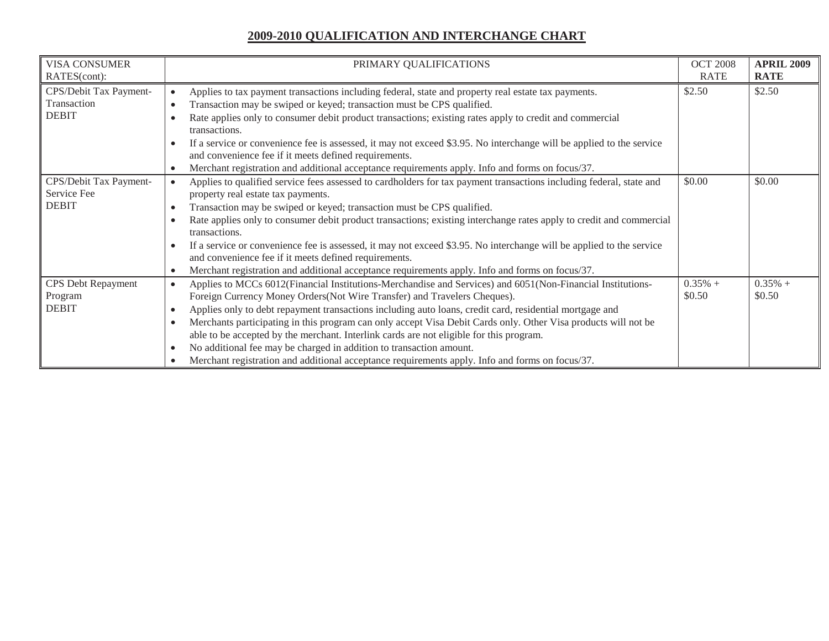| <b>VISA CONSUMER</b>      | PRIMARY QUALIFICATIONS                                                                                                                                                        | <b>OCT 2008</b> | <b>APRIL 2009</b> |
|---------------------------|-------------------------------------------------------------------------------------------------------------------------------------------------------------------------------|-----------------|-------------------|
| RATES(cont):              |                                                                                                                                                                               | <b>RATE</b>     | <b>RATE</b>       |
| CPS/Debit Tax Payment-    | Applies to tax payment transactions including federal, state and property real estate tax payments.                                                                           | \$2.50          | \$2.50            |
| Transaction               | Transaction may be swiped or keyed; transaction must be CPS qualified.                                                                                                        |                 |                   |
| <b>DEBIT</b>              | Rate applies only to consumer debit product transactions; existing rates apply to credit and commercial<br>transactions.                                                      |                 |                   |
|                           | If a service or convenience fee is assessed, it may not exceed \$3.95. No interchange will be applied to the service                                                          |                 |                   |
|                           | and convenience fee if it meets defined requirements.                                                                                                                         |                 |                   |
|                           | Merchant registration and additional acceptance requirements apply. Info and forms on focus/37.                                                                               |                 |                   |
| CPS/Debit Tax Payment-    | Applies to qualified service fees assessed to cardholders for tax payment transactions including federal, state and                                                           | \$0.00          | \$0.00            |
| Service Fee               | property real estate tax payments.                                                                                                                                            |                 |                   |
| <b>DEBIT</b>              | Transaction may be swiped or keyed; transaction must be CPS qualified.                                                                                                        |                 |                   |
|                           | Rate applies only to consumer debit product transactions; existing interchange rates apply to credit and commercial<br>transactions.                                          |                 |                   |
|                           | If a service or convenience fee is assessed, it may not exceed \$3.95. No interchange will be applied to the service<br>and convenience fee if it meets defined requirements. |                 |                   |
|                           | Merchant registration and additional acceptance requirements apply. Info and forms on focus/37.<br>$\bullet$                                                                  |                 |                   |
| <b>CPS Debt Repayment</b> | Applies to MCCs 6012(Financial Institutions-Merchandise and Services) and 6051(Non-Financial Institutions-<br>$\bullet$                                                       | $0.35%$ +       | $0.35%$ +         |
| Program                   | Foreign Currency Money Orders (Not Wire Transfer) and Travelers Cheques).                                                                                                     | \$0.50          | \$0.50            |
| <b>DEBIT</b>              | Applies only to debt repayment transactions including auto loans, credit card, residential mortgage and                                                                       |                 |                   |
|                           | Merchants participating in this program can only accept Visa Debit Cards only. Other Visa products will not be                                                                |                 |                   |
|                           | able to be accepted by the merchant. Interlink cards are not eligible for this program.                                                                                       |                 |                   |
|                           | No additional fee may be charged in addition to transaction amount.<br>$\bullet$                                                                                              |                 |                   |
|                           | Merchant registration and additional acceptance requirements apply. Info and forms on focus/37.                                                                               |                 |                   |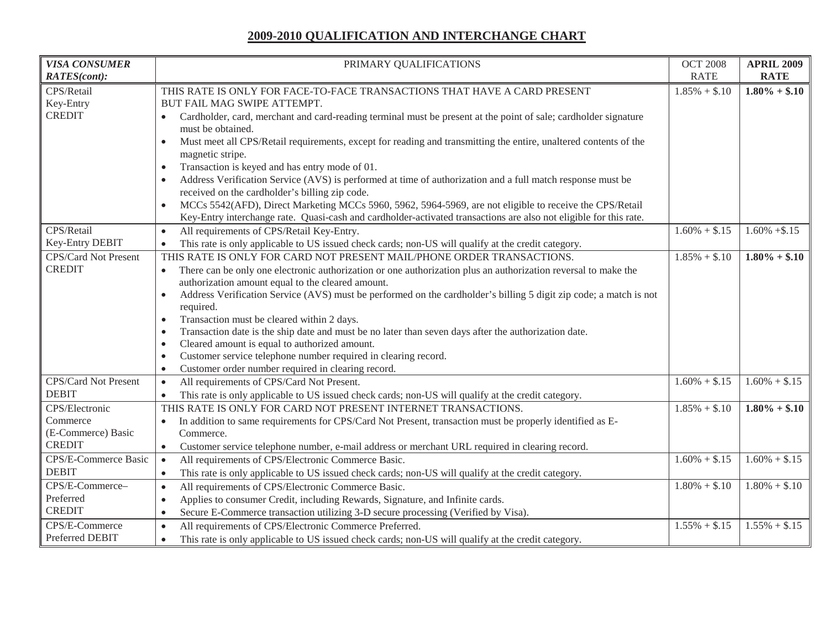| <b>VISA CONSUMER</b>                  | PRIMARY QUALIFICATIONS                                                                                                                                                                   | <b>OCT 2008</b> | <b>APRIL 2009</b> |
|---------------------------------------|------------------------------------------------------------------------------------------------------------------------------------------------------------------------------------------|-----------------|-------------------|
| <b>RATES(cont):</b>                   |                                                                                                                                                                                          | <b>RATE</b>     | <b>RATE</b>       |
| CPS/Retail                            | THIS RATE IS ONLY FOR FACE-TO-FACE TRANSACTIONS THAT HAVE A CARD PRESENT                                                                                                                 | $1.85\% + $.10$ | $1.80\% + $.10$   |
| Key-Entry                             | BUT FAIL MAG SWIPE ATTEMPT.                                                                                                                                                              |                 |                   |
| <b>CREDIT</b>                         | Cardholder, card, merchant and card-reading terminal must be present at the point of sale; cardholder signature                                                                          |                 |                   |
|                                       | must be obtained.                                                                                                                                                                        |                 |                   |
|                                       | Must meet all CPS/Retail requirements, except for reading and transmitting the entire, unaltered contents of the                                                                         |                 |                   |
|                                       | magnetic stripe.                                                                                                                                                                         |                 |                   |
|                                       | Transaction is keyed and has entry mode of 01.<br>$\bullet$                                                                                                                              |                 |                   |
|                                       | Address Verification Service (AVS) is performed at time of authorization and a full match response must be                                                                               |                 |                   |
|                                       | received on the cardholder's billing zip code.                                                                                                                                           |                 |                   |
|                                       | MCCs 5542(AFD), Direct Marketing MCCs 5960, 5962, 5964-5969, are not eligible to receive the CPS/Retail                                                                                  |                 |                   |
| CPS/Retail                            | Key-Entry interchange rate. Quasi-cash and cardholder-activated transactions are also not eligible for this rate.                                                                        | $1.60\% + $.15$ | $1.60\% + $.15$   |
| Key-Entry DEBIT                       | All requirements of CPS/Retail Key-Entry.<br>$\bullet$                                                                                                                                   |                 |                   |
|                                       | This rate is only applicable to US issued check cards; non-US will qualify at the credit category.<br>$\bullet$<br>THIS RATE IS ONLY FOR CARD NOT PRESENT MAIL/PHONE ORDER TRANSACTIONS. |                 | $1.80\% + $.10$   |
| CPS/Card Not Present<br><b>CREDIT</b> |                                                                                                                                                                                          | $1.85\% + $.10$ |                   |
|                                       | There can be only one electronic authorization or one authorization plus an authorization reversal to make the<br>$\bullet$<br>authorization amount equal to the cleared amount.         |                 |                   |
|                                       | Address Verification Service (AVS) must be performed on the cardholder's billing 5 digit zip code; a match is not<br>$\bullet$                                                           |                 |                   |
|                                       | required.                                                                                                                                                                                |                 |                   |
|                                       | Transaction must be cleared within 2 days.<br>$\bullet$                                                                                                                                  |                 |                   |
|                                       | Transaction date is the ship date and must be no later than seven days after the authorization date.<br>$\bullet$                                                                        |                 |                   |
|                                       | Cleared amount is equal to authorized amount.<br>$\bullet$                                                                                                                               |                 |                   |
|                                       | Customer service telephone number required in clearing record.                                                                                                                           |                 |                   |
|                                       | Customer order number required in clearing record.<br>$\bullet$                                                                                                                          |                 |                   |
| CPS/Card Not Present                  | All requirements of CPS/Card Not Present.<br>$\bullet$                                                                                                                                   | $1.60\% + $.15$ | $1.60\% + $.15$   |
| <b>DEBIT</b>                          | This rate is only applicable to US issued check cards; non-US will qualify at the credit category.<br>$\bullet$                                                                          |                 |                   |
| CPS/Electronic                        | THIS RATE IS ONLY FOR CARD NOT PRESENT INTERNET TRANSACTIONS.                                                                                                                            | $1.85\% + $.10$ | $1.80\% + $.10$   |
| Commerce                              | In addition to same requirements for CPS/Card Not Present, transaction must be properly identified as E-<br>$\bullet$                                                                    |                 |                   |
| (E-Commerce) Basic                    | Commerce.                                                                                                                                                                                |                 |                   |
| <b>CREDIT</b>                         | Customer service telephone number, e-mail address or merchant URL required in clearing record.<br>$\bullet$                                                                              |                 |                   |
| CPS/E-Commerce Basic                  | All requirements of CPS/Electronic Commerce Basic.<br>$\bullet$                                                                                                                          | $1.60\% + $.15$ | $1.60\% + $.15$   |
| <b>DEBIT</b>                          | This rate is only applicable to US issued check cards; non-US will qualify at the credit category.<br>$\bullet$                                                                          |                 |                   |
| CPS/E-Commerce-                       | All requirements of CPS/Electronic Commerce Basic.<br>$\bullet$                                                                                                                          | $1.80\% + $.10$ | $1.80\% + $.10$   |
| Preferred                             | Applies to consumer Credit, including Rewards, Signature, and Infinite cards.<br>$\bullet$                                                                                               |                 |                   |
| <b>CREDIT</b>                         | Secure E-Commerce transaction utilizing 3-D secure processing (Verified by Visa).<br>$\bullet$                                                                                           |                 |                   |
| CPS/E-Commerce                        | All requirements of CPS/Electronic Commerce Preferred.<br>$\bullet$                                                                                                                      | $1.55\% + $.15$ | $1.55\% + $.15$   |
| Preferred DEBIT                       | This rate is only applicable to US issued check cards; non-US will qualify at the credit category.<br>$\bullet$                                                                          |                 |                   |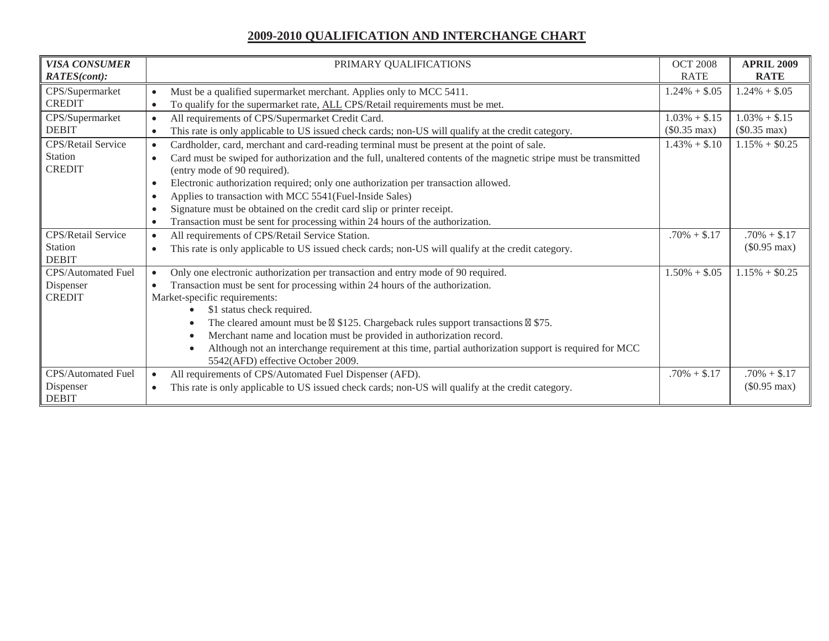| <b>VISA CONSUMER</b>      | PRIMARY QUALIFICATIONS                                                                                                         | <b>OCT 2008</b>        | <b>APRIL 2009</b>      |
|---------------------------|--------------------------------------------------------------------------------------------------------------------------------|------------------------|------------------------|
| RATES(cont):              |                                                                                                                                | <b>RATE</b>            | <b>RATE</b>            |
| CPS/Supermarket           | Must be a qualified supermarket merchant. Applies only to MCC 5411.<br>$\bullet$                                               | $1.24\% + $.05$        | $1.24\% + $.05$        |
| <b>CREDIT</b>             | To qualify for the supermarket rate, ALL CPS/Retail requirements must be met.<br>$\bullet$                                     |                        |                        |
| CPS/Supermarket           | All requirements of CPS/Supermarket Credit Card.<br>$\bullet$                                                                  | $1.03\% + $.15$        | $1.03\% + $.15$        |
| <b>DEBIT</b>              | This rate is only applicable to US issued check cards; non-US will qualify at the credit category.<br>$\bullet$                | $(\$0.35 \text{ max})$ | $(\$0.35 \text{ max})$ |
| CPS/Retail Service        | Cardholder, card, merchant and card-reading terminal must be present at the point of sale.<br>$\bullet$                        | $1.43\% + $.10$        | $1.15\% + $0.25$       |
| Station                   | Card must be swiped for authorization and the full, unaltered contents of the magnetic stripe must be transmitted<br>$\bullet$ |                        |                        |
| <b>CREDIT</b>             | (entry mode of 90 required).                                                                                                   |                        |                        |
|                           | Electronic authorization required; only one authorization per transaction allowed.<br>$\bullet$                                |                        |                        |
|                           | Applies to transaction with MCC 5541(Fuel-Inside Sales)<br>$\bullet$                                                           |                        |                        |
|                           | Signature must be obtained on the credit card slip or printer receipt.<br>$\bullet$                                            |                        |                        |
|                           | Transaction must be sent for processing within 24 hours of the authorization.<br>$\bullet$                                     |                        |                        |
| CPS/Retail Service        | All requirements of CPS/Retail Service Station.<br>$\bullet$                                                                   | $.70\% + $.17$         | $.70\% + $.17$         |
| Station                   | This rate is only applicable to US issued check cards; non-US will qualify at the credit category.<br>$\bullet$                |                        | $(\$0.95 \text{ max})$ |
| <b>DEBIT</b>              |                                                                                                                                |                        |                        |
| CPS/Automated Fuel        | Only one electronic authorization per transaction and entry mode of 90 required.<br>$\bullet$                                  | $1.50\% + $.05$        | $1.15\% + $0.25$       |
| Dispenser                 | Transaction must be sent for processing within 24 hours of the authorization.                                                  |                        |                        |
| <b>CREDIT</b>             | Market-specific requirements:                                                                                                  |                        |                        |
|                           | \$1 status check required.                                                                                                     |                        |                        |
|                           | The cleared amount must be $\boxtimes$ \$125. Chargeback rules support transactions $\boxtimes$ \$75.                          |                        |                        |
|                           | Merchant name and location must be provided in authorization record.                                                           |                        |                        |
|                           | Although not an interchange requirement at this time, partial authorization support is required for MCC                        |                        |                        |
|                           | 5542(AFD) effective October 2009.                                                                                              |                        |                        |
| CPS/Automated Fuel        | All requirements of CPS/Automated Fuel Dispenser (AFD).<br>$\bullet$                                                           | $.70\% + $.17$         | $.70\% + $.17$         |
| Dispenser<br><b>DEBIT</b> | This rate is only applicable to US issued check cards; non-US will qualify at the credit category.<br>$\bullet$                |                        | $(\$0.95 \text{ max})$ |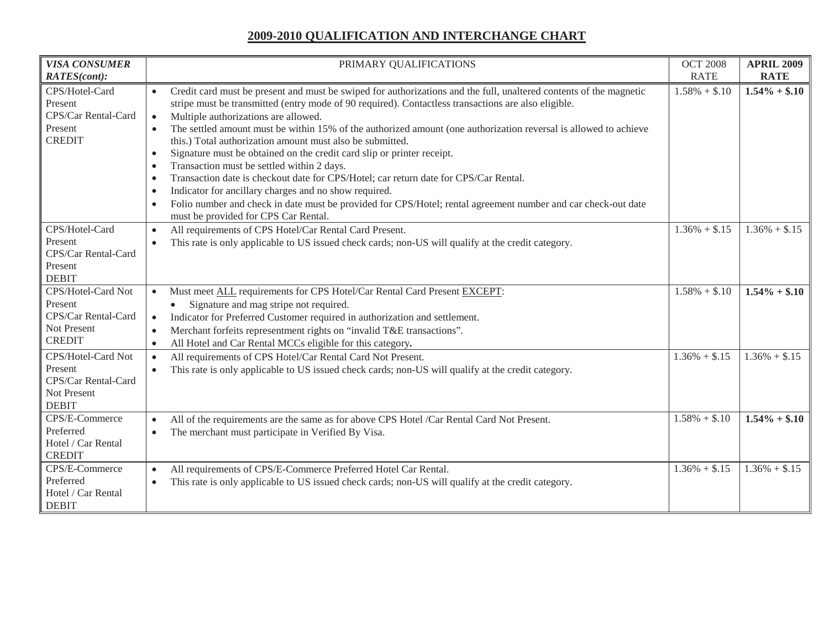| <b>VISA CONSUMER</b><br>RATES(cont):                                                 | PRIMARY QUALIFICATIONS                                                                                                                                                                                                                                                                                                                                                                                                                                                                                                                                                                                                                                                                                                                                                                                                                                                                                                                  | <b>OCT 2008</b><br><b>RATE</b> | <b>APRIL 2009</b><br><b>RATE</b> |
|--------------------------------------------------------------------------------------|-----------------------------------------------------------------------------------------------------------------------------------------------------------------------------------------------------------------------------------------------------------------------------------------------------------------------------------------------------------------------------------------------------------------------------------------------------------------------------------------------------------------------------------------------------------------------------------------------------------------------------------------------------------------------------------------------------------------------------------------------------------------------------------------------------------------------------------------------------------------------------------------------------------------------------------------|--------------------------------|----------------------------------|
| CPS/Hotel-Card<br>Present<br>CPS/Car Rental-Card<br>Present<br><b>CREDIT</b>         | Credit card must be present and must be swiped for authorizations and the full, unaltered contents of the magnetic<br>stripe must be transmitted (entry mode of 90 required). Contactless transactions are also eligible.<br>Multiple authorizations are allowed.<br>$\bullet$<br>The settled amount must be within 15% of the authorized amount (one authorization reversal is allowed to achieve<br>this.) Total authorization amount must also be submitted.<br>Signature must be obtained on the credit card slip or printer receipt.<br>$\bullet$<br>Transaction must be settled within 2 days.<br>$\bullet$<br>Transaction date is checkout date for CPS/Hotel; car return date for CPS/Car Rental.<br>$\bullet$<br>Indicator for ancillary charges and no show required.<br>Folio number and check in date must be provided for CPS/Hotel; rental agreement number and car check-out date<br>must be provided for CPS Car Rental | $1.58\% + $.10$                | $1.54\% + $.10$                  |
| CPS/Hotel-Card<br>Present<br>CPS/Car Rental-Card<br>Present<br><b>DEBIT</b>          | All requirements of CPS Hotel/Car Rental Card Present.<br>$\bullet$<br>This rate is only applicable to US issued check cards; non-US will qualify at the credit category.<br>$\bullet$                                                                                                                                                                                                                                                                                                                                                                                                                                                                                                                                                                                                                                                                                                                                                  | $1.36\% + $.15$                | $1.36\% + $.15$                  |
| CPS/Hotel-Card Not<br>Present<br>CPS/Car Rental-Card<br>Not Present<br><b>CREDIT</b> | Must meet ALL requirements for CPS Hotel/Car Rental Card Present EXCEPT:<br>$\bullet$<br>Signature and mag stripe not required.<br>Indicator for Preferred Customer required in authorization and settlement.<br>$\bullet$<br>Merchant forfeits representment rights on "invalid T&E transactions".<br>All Hotel and Car Rental MCCs eligible for this category.                                                                                                                                                                                                                                                                                                                                                                                                                                                                                                                                                                        | $1.58\% + $.10$                | $1.54\% + $.10$                  |
| CPS/Hotel-Card Not<br>Present<br>CPS/Car Rental-Card<br>Not Present<br><b>DEBIT</b>  | All requirements of CPS Hotel/Car Rental Card Not Present.<br>This rate is only applicable to US issued check cards; non-US will qualify at the credit category.                                                                                                                                                                                                                                                                                                                                                                                                                                                                                                                                                                                                                                                                                                                                                                        | $1.36\% + $.15$                | $1.36\% + $.15$                  |
| CPS/E-Commerce<br>Preferred<br>Hotel / Car Rental<br><b>CREDIT</b>                   | All of the requirements are the same as for above CPS Hotel /Car Rental Card Not Present.<br>$\bullet$<br>The merchant must participate in Verified By Visa.<br>$\bullet$                                                                                                                                                                                                                                                                                                                                                                                                                                                                                                                                                                                                                                                                                                                                                               | $1.58\% + $.10$                | $1.54\% + $.10$                  |
| CPS/E-Commerce<br>Preferred<br>Hotel / Car Rental<br><b>DEBIT</b>                    | All requirements of CPS/E-Commerce Preferred Hotel Car Rental.<br>This rate is only applicable to US issued check cards; non-US will qualify at the credit category.<br>$\bullet$                                                                                                                                                                                                                                                                                                                                                                                                                                                                                                                                                                                                                                                                                                                                                       | $1.36\% + $.15$                | $1.36\% + $.15$                  |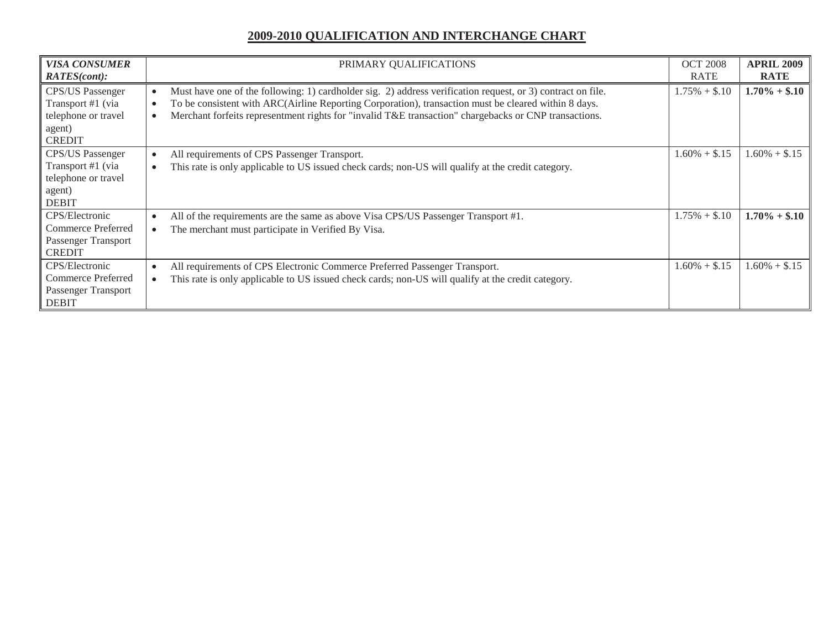| <b>VISA CONSUMER</b><br><b>RATES(cont):</b>                                                    | PRIMARY QUALIFICATIONS                                                                                                                                                                                                                                                                                                       | <b>OCT 2008</b><br><b>RATE</b> | <b>APRIL 2009</b><br><b>RATE</b> |
|------------------------------------------------------------------------------------------------|------------------------------------------------------------------------------------------------------------------------------------------------------------------------------------------------------------------------------------------------------------------------------------------------------------------------------|--------------------------------|----------------------------------|
| <b>CPS/US Passenger</b><br>Transport #1 (via<br>telephone or travel<br>agent)<br><b>CREDIT</b> | Must have one of the following: 1) cardholder sig. 2) address verification request, or 3) contract on file.<br>To be consistent with ARC(Airline Reporting Corporation), transaction must be cleared within 8 days.<br>Merchant forfeits representment rights for "invalid T&E transaction" chargebacks or CNP transactions. | $1.75\% + $.10$                | $1.70\% + $.10$                  |
| <b>CPS/US Passenger</b><br>Transport #1 (via<br>telephone or travel<br>agent)<br><b>DEBIT</b>  | All requirements of CPS Passenger Transport.<br>This rate is only applicable to US issued check cards; non-US will qualify at the credit category.                                                                                                                                                                           | $1.60\% + $.15$                | $1.60\% + $.15$                  |
| CPS/Electronic<br>Commerce Preferred<br>Passenger Transport<br><b>CREDIT</b>                   | All of the requirements are the same as above Visa CPS/US Passenger Transport #1.<br>The merchant must participate in Verified By Visa.                                                                                                                                                                                      | $1.75\% + $.10$                | $1.70\% + $.10$                  |
| CPS/Electronic<br><b>Commerce Preferred</b><br>Passenger Transport<br><b>DEBIT</b>             | All requirements of CPS Electronic Commerce Preferred Passenger Transport.<br>This rate is only applicable to US issued check cards; non-US will qualify at the credit category.                                                                                                                                             | $1.60\% + $.15$                | $1.60\% + $.15$                  |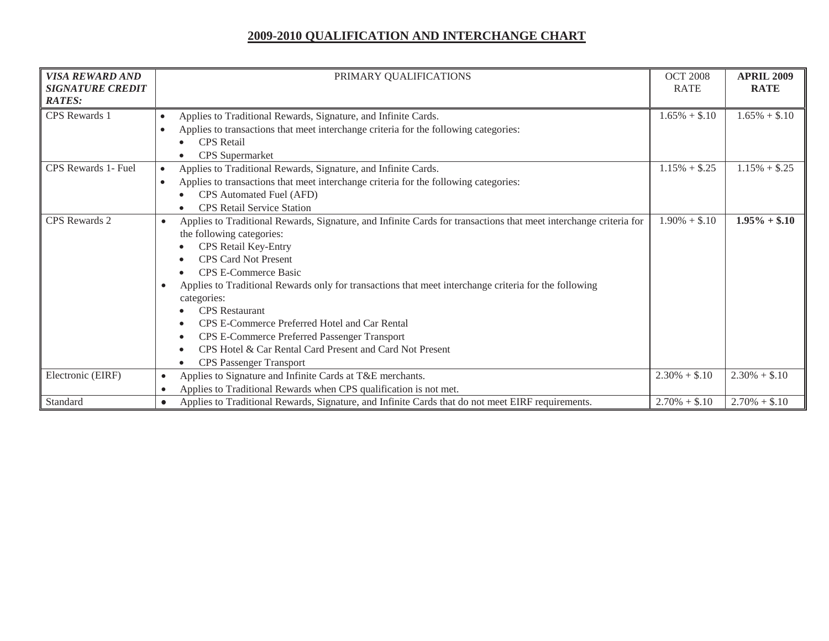| <b>VISA REWARD AND</b><br><b>SIGNATURE CREDIT</b><br><b>RATES:</b> | PRIMARY QUALIFICATIONS                                                                                                                                                                                                                                                                                                                                                                                                                                                                                                                                                                            | <b>OCT 2008</b><br><b>RATE</b> | <b>APRIL 2009</b><br><b>RATE</b> |
|--------------------------------------------------------------------|---------------------------------------------------------------------------------------------------------------------------------------------------------------------------------------------------------------------------------------------------------------------------------------------------------------------------------------------------------------------------------------------------------------------------------------------------------------------------------------------------------------------------------------------------------------------------------------------------|--------------------------------|----------------------------------|
| <b>CPS</b> Rewards 1                                               | Applies to Traditional Rewards, Signature, and Infinite Cards.<br>$\bullet$<br>Applies to transactions that meet interchange criteria for the following categories:<br><b>CPS</b> Retail<br><b>CPS</b> Supermarket                                                                                                                                                                                                                                                                                                                                                                                | $1.65\% + $.10$                | $1.65\% + $.10$                  |
| <b>CPS</b> Rewards 1- Fuel                                         | Applies to Traditional Rewards, Signature, and Infinite Cards.<br>$\bullet$<br>Applies to transactions that meet interchange criteria for the following categories:<br>$\bullet$<br>CPS Automated Fuel (AFD)<br><b>CPS</b> Retail Service Station                                                                                                                                                                                                                                                                                                                                                 | $1.15\% + $.25$                | $1.15\% + $.25$                  |
| <b>CPS</b> Rewards 2                                               | Applies to Traditional Rewards, Signature, and Infinite Cards for transactions that meet interchange criteria for<br>$\bullet$<br>the following categories:<br>CPS Retail Key-Entry<br><b>CPS Card Not Present</b><br><b>CPS E-Commerce Basic</b><br>Applies to Traditional Rewards only for transactions that meet interchange criteria for the following<br>categories:<br><b>CPS</b> Restaurant<br>CPS E-Commerce Preferred Hotel and Car Rental<br>CPS E-Commerce Preferred Passenger Transport<br>CPS Hotel & Car Rental Card Present and Card Not Present<br><b>CPS</b> Passenger Transport | $1.90\% + $.10$                | $1.95\% + $.10$                  |
| Electronic (EIRF)                                                  | Applies to Signature and Infinite Cards at T&E merchants.<br>$\bullet$                                                                                                                                                                                                                                                                                                                                                                                                                                                                                                                            | $2.30\% + $.10$                | $2.30\% + $.10$                  |
| Standard                                                           | Applies to Traditional Rewards when CPS qualification is not met.<br>Applies to Traditional Rewards, Signature, and Infinite Cards that do not meet EIRF requirements.                                                                                                                                                                                                                                                                                                                                                                                                                            | $2.70\% + $.10$                | $2.70\% + $.10$                  |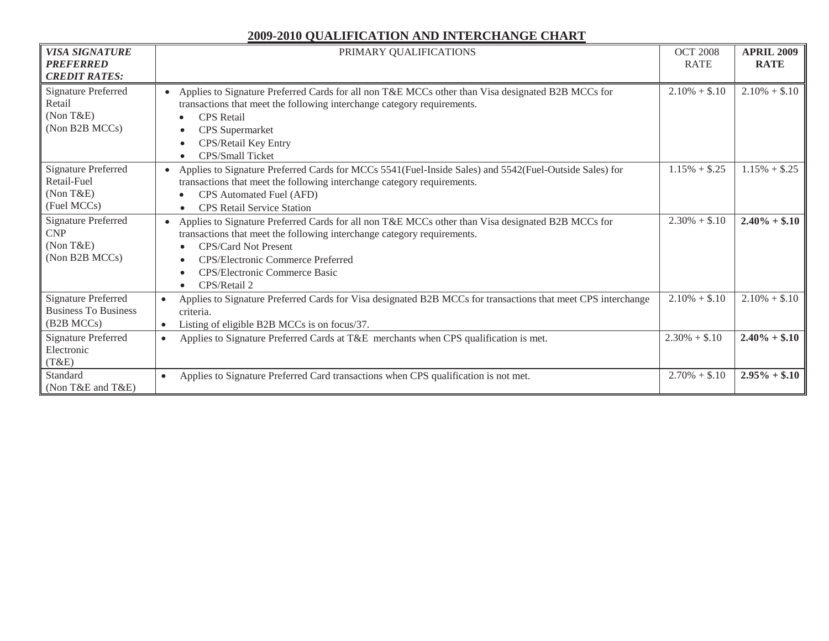| <b>VISA SIGNATURE</b><br><b>PREFERRED</b><br><b>CREDIT RATES:</b>       | PRIMARY QUALIFICATIONS                                                                                                                                                                                                                                                                                         | <b>OCT 2008</b><br><b>RATE</b> | <b>APRIL 2009</b><br><b>RATE</b> |
|-------------------------------------------------------------------------|----------------------------------------------------------------------------------------------------------------------------------------------------------------------------------------------------------------------------------------------------------------------------------------------------------------|--------------------------------|----------------------------------|
| <b>Signature Preferred</b><br>Retail<br>(Non T&E)<br>(Non B2B MCCs)     | Applies to Signature Preferred Cards for all non T&E MCCs other than Visa designated B2B MCCs for<br>$\bullet$<br>transactions that meet the following interchange category requirements.<br><b>CPS</b> Retail<br><b>CPS</b> Supermarket<br>CPS/Retail Key Entry<br>CPS/Small Ticket                           | $2.10\% + $.10$                | $2.10\% + $.10$                  |
| <b>Signature Preferred</b><br>Retail-Fuel<br>(NonT&E)<br>(Fuel MCCs)    | Applies to Signature Preferred Cards for MCCs 5541 (Fuel-Inside Sales) and 5542 (Fuel-Outside Sales) for<br>$\bullet$<br>transactions that meet the following interchange category requirements.<br>CPS Automated Fuel (AFD)<br><b>CPS</b> Retail Service Station                                              | $1.15\% + $.25$                | $1.15\% + $.25$                  |
| <b>Signature Preferred</b><br><b>CNP</b><br>(Non T&E)<br>(Non B2B MCCs) | Applies to Signature Preferred Cards for all non T&E MCCs other than Visa designated B2B MCCs for<br>$\bullet$<br>transactions that meet the following interchange category requirements.<br><b>CPS/Card Not Present</b><br>CPS/Electronic Commerce Preferred<br>CPS/Electronic Commerce Basic<br>CPS/Retail 2 | $2.30\% + $.10$                | $2.40\% + $.10$                  |
| <b>Signature Preferred</b><br><b>Business To Business</b><br>(B2B MCCs) | Applies to Signature Preferred Cards for Visa designated B2B MCCs for transactions that meet CPS interchange<br>$\bullet$<br>criteria.<br>Listing of eligible B2B MCCs is on focus/37.<br>$\bullet$                                                                                                            | $2.10\% + $.10$                | $2.10\% + $.10$                  |
| <b>Signature Preferred</b><br>Electronic<br>(T&E)                       | Applies to Signature Preferred Cards at T&E merchants when CPS qualification is met.<br>$\bullet$                                                                                                                                                                                                              | $2.30\% + $.10$                | $2.40\% + $.10$                  |
| Standard<br>(Non T&E and T&E)                                           | Applies to Signature Preferred Card transactions when CPS qualification is not met.<br>$\bullet$                                                                                                                                                                                                               | $2.70\% + $.10$                | $2.95\% + $.10$                  |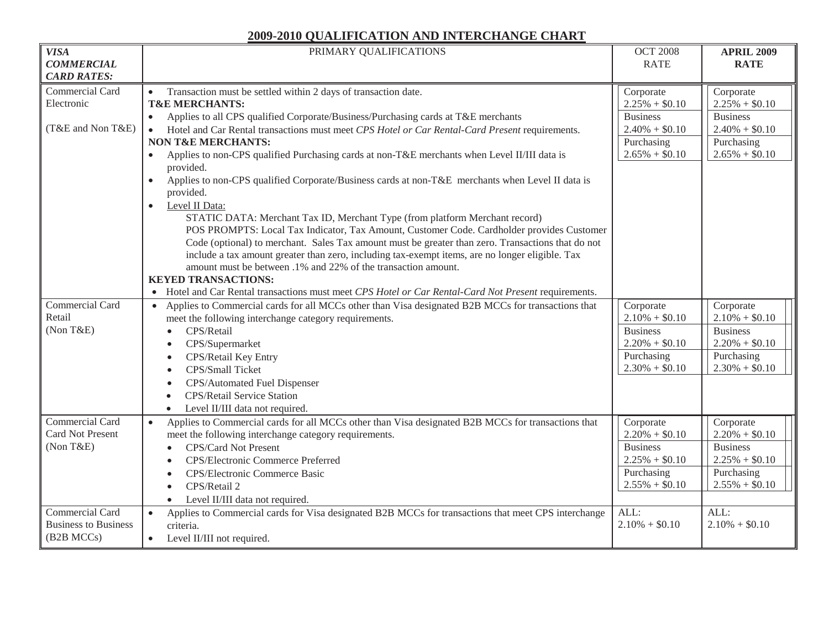| <b>VISA</b>                 | PRIMARY QUALIFICATIONS                                                                                           | <b>OCT 2008</b>  | <b>APRIL 2009</b> |
|-----------------------------|------------------------------------------------------------------------------------------------------------------|------------------|-------------------|
| <b>COMMERCIAL</b>           |                                                                                                                  | <b>RATE</b>      | <b>RATE</b>       |
| <b>CARD RATES:</b>          |                                                                                                                  |                  |                   |
| Commercial Card             | $\bullet$                                                                                                        |                  |                   |
| Electronic                  | Transaction must be settled within 2 days of transaction date.<br><b>T&amp;E MERCHANTS:</b>                      | Corporate        | Corporate         |
|                             |                                                                                                                  | $2.25\% + $0.10$ | $2.25\% + $0.10$  |
| (T&E and Non T&E)           | Applies to all CPS qualified Corporate/Business/Purchasing cards at T&E merchants<br>$\bullet$                   | <b>Business</b>  | <b>Business</b>   |
|                             | Hotel and Car Rental transactions must meet CPS Hotel or Car Rental-Card Present requirements.<br>$\bullet$      | $2.40\% + $0.10$ | $2.40\% + $0.10$  |
|                             | <b>NON T&amp;E MERCHANTS:</b>                                                                                    | Purchasing       | Purchasing        |
|                             | Applies to non-CPS qualified Purchasing cards at non-T&E merchants when Level II/III data is<br>provided.        | $2.65\% + $0.10$ | $2.65\% + $0.10$  |
|                             | Applies to non-CPS qualified Corporate/Business cards at non-T&E merchants when Level II data is<br>$\bullet$    |                  |                   |
|                             | provided.                                                                                                        |                  |                   |
|                             | Level II Data:<br>$\bullet$                                                                                      |                  |                   |
|                             | STATIC DATA: Merchant Tax ID, Merchant Type (from platform Merchant record)                                      |                  |                   |
|                             | POS PROMPTS: Local Tax Indicator, Tax Amount, Customer Code. Cardholder provides Customer                        |                  |                   |
|                             | Code (optional) to merchant. Sales Tax amount must be greater than zero. Transactions that do not                |                  |                   |
|                             | include a tax amount greater than zero, including tax-exempt items, are no longer eligible. Tax                  |                  |                   |
|                             | amount must be between .1% and 22% of the transaction amount.                                                    |                  |                   |
|                             | <b>KEYED TRANSACTIONS:</b>                                                                                       |                  |                   |
|                             | Hotel and Car Rental transactions must meet CPS Hotel or Car Rental-Card Not Present requirements.               |                  |                   |
| Commercial Card             | Applies to Commercial cards for all MCCs other than Visa designated B2B MCCs for transactions that               | Corporate        | Corporate         |
| Retail                      | meet the following interchange category requirements.                                                            | $2.10\% + $0.10$ | $2.10\% + $0.10$  |
| (Non T&E)                   | CPS/Retail<br>$\bullet$                                                                                          | <b>Business</b>  | <b>Business</b>   |
|                             | CPS/Supermarket<br>$\bullet$                                                                                     | $2.20\% + $0.10$ | $2.20\% + $0.10$  |
|                             | CPS/Retail Key Entry                                                                                             | Purchasing       | Purchasing        |
|                             | CPS/Small Ticket<br>$\bullet$                                                                                    | $2.30\% + $0.10$ | $2.30\% + $0.10$  |
|                             | CPS/Automated Fuel Dispenser                                                                                     |                  |                   |
|                             | <b>CPS/Retail Service Station</b>                                                                                |                  |                   |
|                             | Level II/III data not required.<br>$\bullet$                                                                     |                  |                   |
| Commercial Card             | Applies to Commercial cards for all MCCs other than Visa designated B2B MCCs for transactions that<br>$\bullet$  | Corporate        | Corporate         |
| Card Not Present            | meet the following interchange category requirements.                                                            | $2.20\% + $0.10$ | $2.20\% + $0.10$  |
| (Non T&E)                   | CPS/Card Not Present<br>$\bullet$                                                                                | <b>Business</b>  | <b>Business</b>   |
|                             | CPS/Electronic Commerce Preferred                                                                                | $2.25\% + $0.10$ | $2.25\% + $0.10$  |
|                             | CPS/Electronic Commerce Basic<br>$\bullet$                                                                       | Purchasing       | Purchasing        |
|                             | CPS/Retail 2                                                                                                     | $2.55\% + $0.10$ | $2.55\% + $0.10$  |
|                             | Level II/III data not required.<br>$\bullet$                                                                     |                  |                   |
| Commercial Card             | Applies to Commercial cards for Visa designated B2B MCCs for transactions that meet CPS interchange<br>$\bullet$ | ALL:             | ALL:              |
| <b>Business to Business</b> | criteria.                                                                                                        | $2.10\% + $0.10$ | $2.10\% + $0.10$  |
| (B2B MCCs)                  | Level II/III not required.<br>$\bullet$                                                                          |                  |                   |
|                             |                                                                                                                  |                  |                   |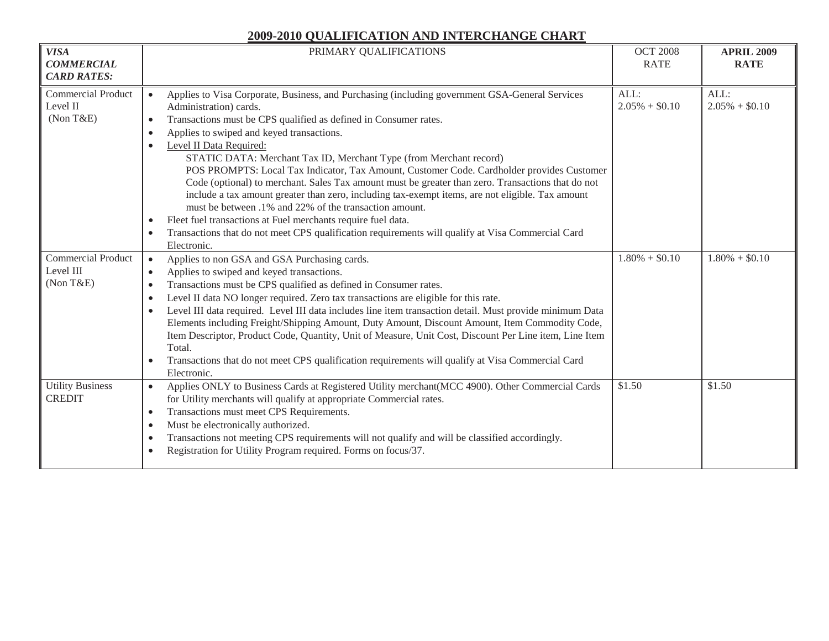| <b>VISA</b><br><b>COMMERCIAL</b><br><b>CARD RATES:</b> | PRIMARY QUALIFICATIONS                                                                                                                                                                                                                                                                                                                                                                                                                                                                                                                                                                                                                                                                                                                                                                                                                                                                                                                           | <b>OCT 2008</b><br><b>RATE</b> | <b>APRIL 2009</b><br><b>RATE</b> |
|--------------------------------------------------------|--------------------------------------------------------------------------------------------------------------------------------------------------------------------------------------------------------------------------------------------------------------------------------------------------------------------------------------------------------------------------------------------------------------------------------------------------------------------------------------------------------------------------------------------------------------------------------------------------------------------------------------------------------------------------------------------------------------------------------------------------------------------------------------------------------------------------------------------------------------------------------------------------------------------------------------------------|--------------------------------|----------------------------------|
| <b>Commercial Product</b><br>Level II<br>(Non T&E)     | Applies to Visa Corporate, Business, and Purchasing (including government GSA-General Services<br>$\bullet$<br>Administration) cards.<br>Transactions must be CPS qualified as defined in Consumer rates.<br>$\bullet$<br>Applies to swiped and keyed transactions.<br>$\bullet$<br>Level II Data Required:<br>$\bullet$<br>STATIC DATA: Merchant Tax ID, Merchant Type (from Merchant record)<br>POS PROMPTS: Local Tax Indicator, Tax Amount, Customer Code. Cardholder provides Customer<br>Code (optional) to merchant. Sales Tax amount must be greater than zero. Transactions that do not<br>include a tax amount greater than zero, including tax-exempt items, are not eligible. Tax amount<br>must be between .1% and 22% of the transaction amount.<br>Fleet fuel transactions at Fuel merchants require fuel data.<br>$\bullet$<br>Transactions that do not meet CPS qualification requirements will qualify at Visa Commercial Card | ALL:<br>$2.05\% + $0.10$       | ALL:<br>$2.05\% + $0.10$         |
|                                                        | $\bullet$<br>Electronic.                                                                                                                                                                                                                                                                                                                                                                                                                                                                                                                                                                                                                                                                                                                                                                                                                                                                                                                         |                                |                                  |
| <b>Commercial Product</b><br>Level III<br>(Non T&E)    | Applies to non GSA and GSA Purchasing cards.<br>$\bullet$<br>Applies to swiped and keyed transactions.<br>$\bullet$<br>Transactions must be CPS qualified as defined in Consumer rates.<br>$\bullet$<br>Level II data NO longer required. Zero tax transactions are eligible for this rate.<br>$\bullet$<br>Level III data required. Level III data includes line item transaction detail. Must provide minimum Data<br>Elements including Freight/Shipping Amount, Duty Amount, Discount Amount, Item Commodity Code,<br>Item Descriptor, Product Code, Quantity, Unit of Measure, Unit Cost, Discount Per Line item, Line Item<br>Total.<br>Transactions that do not meet CPS qualification requirements will qualify at Visa Commercial Card<br>Electronic.                                                                                                                                                                                   | $1.80\% + $0.10$               | $1.80\% + $0.10$                 |
| <b>Utility Business</b><br><b>CREDIT</b>               | Applies ONLY to Business Cards at Registered Utility merchant(MCC 4900). Other Commercial Cards<br>$\bullet$<br>for Utility merchants will qualify at appropriate Commercial rates.<br>Transactions must meet CPS Requirements.<br>$\bullet$<br>Must be electronically authorized.<br>$\bullet$<br>Transactions not meeting CPS requirements will not qualify and will be classified accordingly.<br>$\bullet$<br>Registration for Utility Program required. Forms on focus/37.<br>$\bullet$                                                                                                                                                                                                                                                                                                                                                                                                                                                     | \$1.50                         | \$1.50                           |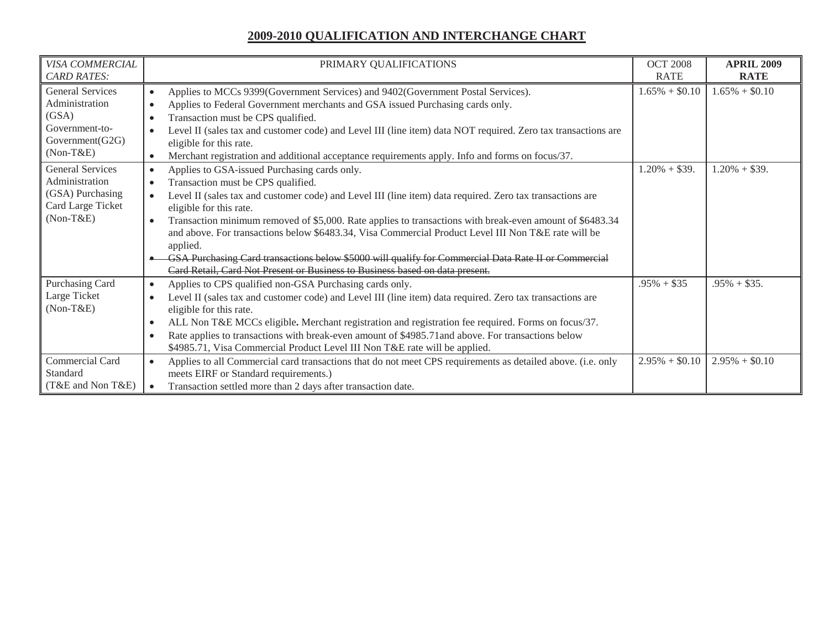| VISA COMMERCIAL                                                                                   | PRIMARY QUALIFICATIONS                                                                                                                                                                                                                                                                                                                                                                                                                                                                                                                                                                                                                            | <b>OCT 2008</b>  | <b>APRIL 2009</b> |
|---------------------------------------------------------------------------------------------------|---------------------------------------------------------------------------------------------------------------------------------------------------------------------------------------------------------------------------------------------------------------------------------------------------------------------------------------------------------------------------------------------------------------------------------------------------------------------------------------------------------------------------------------------------------------------------------------------------------------------------------------------------|------------------|-------------------|
| <b>CARD RATES:</b>                                                                                |                                                                                                                                                                                                                                                                                                                                                                                                                                                                                                                                                                                                                                                   | <b>RATE</b>      | <b>RATE</b>       |
| <b>General Services</b><br>Administration<br>(GSA)<br>Government-to-<br>Government(G2G)           | Applies to MCCs 9399(Government Services) and 9402(Government Postal Services).<br>$\bullet$<br>Applies to Federal Government merchants and GSA issued Purchasing cards only.<br>Transaction must be CPS qualified.<br>Level II (sales tax and customer code) and Level III (line item) data NOT required. Zero tax transactions are<br>eligible for this rate.                                                                                                                                                                                                                                                                                   | $1.65\% + $0.10$ | $1.65\% + $0.10$  |
| $(Non-T&E)$                                                                                       | Merchant registration and additional acceptance requirements apply. Info and forms on focus/37.                                                                                                                                                                                                                                                                                                                                                                                                                                                                                                                                                   |                  |                   |
| <b>General Services</b><br>Administration<br>(GSA) Purchasing<br>Card Large Ticket<br>$(Non-T&E)$ | Applies to GSA-issued Purchasing cards only.<br>Transaction must be CPS qualified.<br>Level II (sales tax and customer code) and Level III (line item) data required. Zero tax transactions are<br>eligible for this rate.<br>Transaction minimum removed of \$5,000. Rate applies to transactions with break-even amount of \$6483.34<br>and above. For transactions below \$6483.34, Visa Commercial Product Level III Non T&E rate will be<br>applied.<br>GSA Purchasing Card transactions below \$5000 will qualify for Commercial Data Rate II or Commercial<br>Card Retail, Card Not Present or Business to Business based on data present. | $1.20\% + $39.$  | $1.20\% + $39.$   |
| Purchasing Card<br>Large Ticket<br>$(Non-T&E)$                                                    | Applies to CPS qualified non-GSA Purchasing cards only.<br>$\bullet$<br>Level II (sales tax and customer code) and Level III (line item) data required. Zero tax transactions are<br>eligible for this rate.<br>ALL Non T&E MCCs eligible. Merchant registration and registration fee required. Forms on focus/37.<br>Rate applies to transactions with break-even amount of \$4985.71 and above. For transactions below<br>$\bullet$<br>\$4985.71, Visa Commercial Product Level III Non T&E rate will be applied.                                                                                                                               | $.95\% + $35$    | $.95\% + $35.$    |
| <b>Commercial Card</b><br>Standard<br>(T&E and Non T&E)                                           | Applies to all Commercial card transactions that do not meet CPS requirements as detailed above. (i.e. only<br>meets EIRF or Standard requirements.)<br>Transaction settled more than 2 days after transaction date.                                                                                                                                                                                                                                                                                                                                                                                                                              | $2.95\% + $0.10$ | $2.95\% + $0.10$  |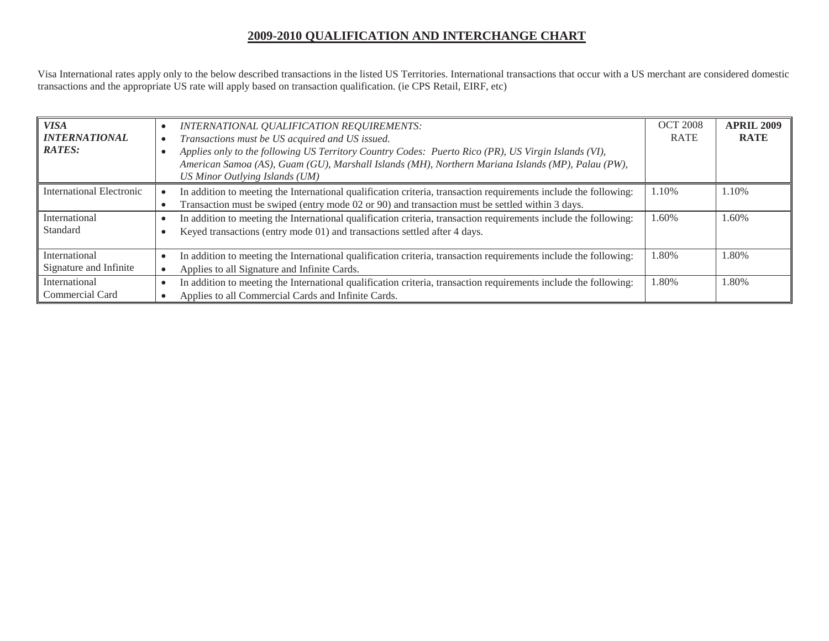Visa International rates apply only to the below described transactions in the listed US Territories. International transactions that occur with a US merchant are considered domestic transactions and the appropriate US rate will apply based on transaction qualification. (ie CPS Retail, EIRF, etc)

| <b>VISA</b><br><b>INTERNATIONAL</b><br><b>RATES:</b> | INTERNATIONAL QUALIFICATION REQUIREMENTS:<br>Transactions must be US acquired and US issued.<br>Applies only to the following US Territory Country Codes: Puerto Rico (PR), US Virgin Islands (VI),<br>American Samoa (AS), Guam (GU), Marshall Islands (MH), Northern Mariana Islands (MP), Palau (PW),<br>US Minor Outlying Islands (UM) | <b>OCT 2008</b><br><b>RATE</b> | <b>APRIL 2009</b><br><b>RATE</b> |
|------------------------------------------------------|--------------------------------------------------------------------------------------------------------------------------------------------------------------------------------------------------------------------------------------------------------------------------------------------------------------------------------------------|--------------------------------|----------------------------------|
| International Electronic                             | In addition to meeting the International qualification criteria, transaction requirements include the following:<br>Transaction must be swiped (entry mode 02 or 90) and transaction must be settled within 3 days.                                                                                                                        | 1.10%                          | .10%                             |
| International<br>Standard                            | In addition to meeting the International qualification criteria, transaction requirements include the following:<br>Keyed transactions (entry mode 01) and transactions settled after 4 days.                                                                                                                                              | 1.60%                          | $.60\%$                          |
| International<br>Signature and Infinite              | In addition to meeting the International qualification criteria, transaction requirements include the following:<br>Applies to all Signature and Infinite Cards.                                                                                                                                                                           | 1.80%                          | .80%                             |
| International<br>Commercial Card                     | In addition to meeting the International qualification criteria, transaction requirements include the following:<br>Applies to all Commercial Cards and Infinite Cards.                                                                                                                                                                    | 1.80%                          | .80%                             |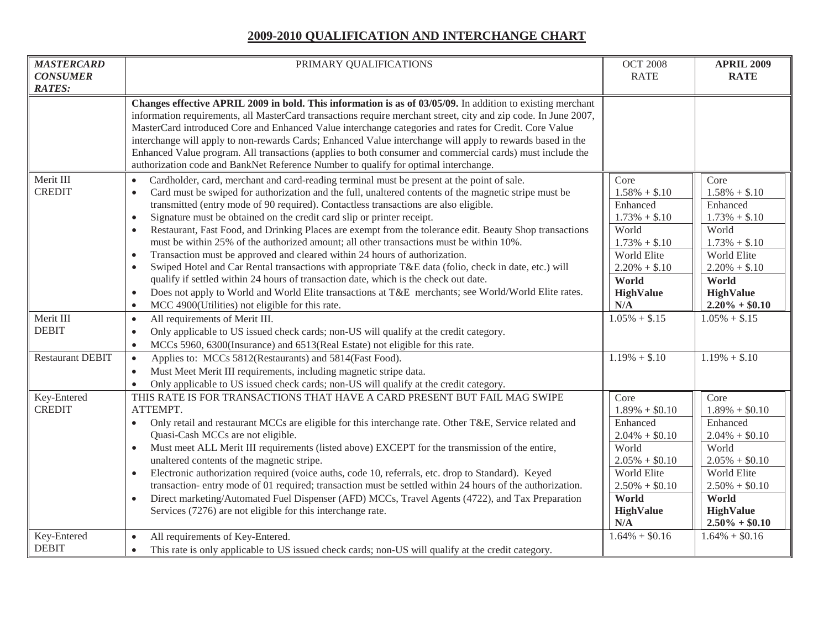| <b>MASTERCARD</b><br><b>CONSUMER</b>    | PRIMARY QUALIFICATIONS                                                                                                                                                                                                                                                                                                                                                                                                                                                                                                                                                                                                                                                                                                                                                                                                                                                                                                                                                                                                                                                                                                                                        | <b>OCT 2008</b><br><b>RATE</b>                                                                                                                                              | <b>APRIL 2009</b><br><b>RATE</b>                                                                                                                                                         |
|-----------------------------------------|---------------------------------------------------------------------------------------------------------------------------------------------------------------------------------------------------------------------------------------------------------------------------------------------------------------------------------------------------------------------------------------------------------------------------------------------------------------------------------------------------------------------------------------------------------------------------------------------------------------------------------------------------------------------------------------------------------------------------------------------------------------------------------------------------------------------------------------------------------------------------------------------------------------------------------------------------------------------------------------------------------------------------------------------------------------------------------------------------------------------------------------------------------------|-----------------------------------------------------------------------------------------------------------------------------------------------------------------------------|------------------------------------------------------------------------------------------------------------------------------------------------------------------------------------------|
| <b>RATES:</b>                           | Changes effective APRIL 2009 in bold. This information is as of 03/05/09. In addition to existing merchant<br>information requirements, all MasterCard transactions require merchant street, city and zip code. In June 2007,<br>MasterCard introduced Core and Enhanced Value interchange categories and rates for Credit. Core Value<br>interchange will apply to non-rewards Cards; Enhanced Value interchange will apply to rewards based in the<br>Enhanced Value program. All transactions (applies to both consumer and commercial cards) must include the<br>authorization code and BankNet Reference Number to qualify for optimal interchange.                                                                                                                                                                                                                                                                                                                                                                                                                                                                                                      |                                                                                                                                                                             |                                                                                                                                                                                          |
| Merit III<br><b>CREDIT</b><br>Merit III | Cardholder, card, merchant and card-reading terminal must be present at the point of sale.<br>$\bullet$<br>Card must be swiped for authorization and the full, unaltered contents of the magnetic stripe must be<br>$\bullet$<br>transmitted (entry mode of 90 required). Contactless transactions are also eligible.<br>Signature must be obtained on the credit card slip or printer receipt.<br>$\bullet$<br>Restaurant, Fast Food, and Drinking Places are exempt from the tolerance edit. Beauty Shop transactions<br>$\bullet$<br>must be within 25% of the authorized amount; all other transactions must be within 10%.<br>Transaction must be approved and cleared within 24 hours of authorization.<br>$\bullet$<br>Swiped Hotel and Car Rental transactions with appropriate T&E data (folio, check in date, etc.) will<br>$\bullet$<br>qualify if settled within 24 hours of transaction date, which is the check out date.<br>Does not apply to World and World Elite transactions at T&E merchants; see World/World Elite rates.<br>$\bullet$<br>MCC 4900(Utilities) not eligible for this rate.<br>$\bullet$<br>All requirements of Merit III. | Core<br>$1.58\% + $.10$<br>Enhanced<br>$1.73\% + $.10$<br>World<br>$1.73\% + $.10$<br>World Elite<br>$2.20\% + $.10$<br>World<br><b>HighValue</b><br>N/A<br>$1.05\% + $.15$ | Core<br>$1.58\% + $.10$<br>Enhanced<br>$1.73\% + $.10$<br>World<br>$1.73\% + $.10$<br>World Elite<br>$2.20\% + $.10$<br>World<br><b>HighValue</b><br>$2.20\% + $0.10$<br>$1.05\% + $.15$ |
| <b>DEBIT</b>                            | $\bullet$<br>Only applicable to US issued check cards; non-US will qualify at the credit category.<br>$\bullet$<br>MCCs 5960, 6300(Insurance) and 6513(Real Estate) not eligible for this rate.<br>$\bullet$                                                                                                                                                                                                                                                                                                                                                                                                                                                                                                                                                                                                                                                                                                                                                                                                                                                                                                                                                  |                                                                                                                                                                             |                                                                                                                                                                                          |
| <b>Restaurant DEBIT</b>                 | Applies to: MCCs 5812(Restaurants) and 5814(Fast Food).<br>$\bullet$<br>Must Meet Merit III requirements, including magnetic stripe data.<br>$\bullet$<br>Only applicable to US issued check cards; non-US will qualify at the credit category.<br>$\bullet$                                                                                                                                                                                                                                                                                                                                                                                                                                                                                                                                                                                                                                                                                                                                                                                                                                                                                                  | $1.19\% + $.10$                                                                                                                                                             | $1.19\% + $.10$                                                                                                                                                                          |
| Key-Entered<br><b>CREDIT</b>            | THIS RATE IS FOR TRANSACTIONS THAT HAVE A CARD PRESENT BUT FAIL MAG SWIPE<br>ATTEMPT.<br>Only retail and restaurant MCCs are eligible for this interchange rate. Other T&E, Service related and<br>$\bullet$<br>Quasi-Cash MCCs are not eligible.<br>Must meet ALL Merit III requirements (listed above) EXCEPT for the transmission of the entire,<br>$\bullet$<br>unaltered contents of the magnetic stripe.<br>Electronic authorization required (voice auths, code 10, referrals, etc. drop to Standard). Keyed<br>$\bullet$<br>transaction-entry mode of 01 required; transaction must be settled within 24 hours of the authorization.<br>Direct marketing/Automated Fuel Dispenser (AFD) MCCs, Travel Agents (4722), and Tax Preparation<br>Services (7276) are not eligible for this interchange rate.                                                                                                                                                                                                                                                                                                                                                | Core<br>$1.89\% + $0.10$<br>Enhanced<br>$2.04\% + $0.10$<br>World<br>$2.05\% + $0.10$<br>World Elite<br>$2.50\% + $0.10$<br>World<br><b>HighValue</b><br>N/A                | Core<br>$1.89\% + $0.10$<br>Enhanced<br>$2.04\% + $0.10$<br>World<br>$2.05\% + $0.10$<br>World Elite<br>$2.50\% + $0.10$<br>World<br><b>HighValue</b><br>$2.50\% + $0.10$                |
| Key-Entered<br><b>DEBIT</b>             | All requirements of Key-Entered.<br>$\bullet$<br>This rate is only applicable to US issued check cards; non-US will qualify at the credit category.<br>$\bullet$                                                                                                                                                                                                                                                                                                                                                                                                                                                                                                                                                                                                                                                                                                                                                                                                                                                                                                                                                                                              | $1.64\% + $0.16$                                                                                                                                                            | $1.64\% + $0.16$                                                                                                                                                                         |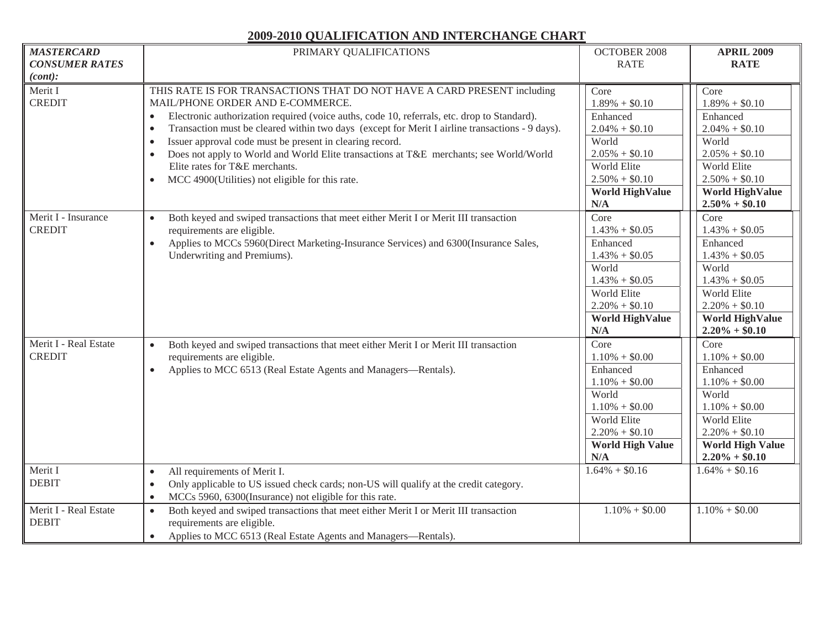| <b>MASTERCARD</b><br><b>CONSUMER RATES</b><br>(cont): | PRIMARY QUALIFICATIONS                                                                                                                                                                                                                                                                                                                                                                                                                                                                                                                                                                                       | <b>OCTOBER 2008</b><br><b>RATE</b>                                                                                                                         | <b>APRIL 2009</b><br><b>RATE</b>                                                                                                                                        |
|-------------------------------------------------------|--------------------------------------------------------------------------------------------------------------------------------------------------------------------------------------------------------------------------------------------------------------------------------------------------------------------------------------------------------------------------------------------------------------------------------------------------------------------------------------------------------------------------------------------------------------------------------------------------------------|------------------------------------------------------------------------------------------------------------------------------------------------------------|-------------------------------------------------------------------------------------------------------------------------------------------------------------------------|
| Merit I<br><b>CREDIT</b>                              | THIS RATE IS FOR TRANSACTIONS THAT DO NOT HAVE A CARD PRESENT including<br>MAIL/PHONE ORDER AND E-COMMERCE.<br>Electronic authorization required (voice auths, code 10, referrals, etc. drop to Standard).<br>Transaction must be cleared within two days (except for Merit I airline transactions - 9 days).<br>$\bullet$<br>Issuer approval code must be present in clearing record.<br>$\bullet$<br>Does not apply to World and World Elite transactions at T&E merchants; see World/World<br>$\bullet$<br>Elite rates for T&E merchants.<br>MCC 4900(Utilities) not eligible for this rate.<br>$\bullet$ | Core<br>$1.89\% + $0.10$<br>Enhanced<br>$2.04\% + $0.10$<br>World<br>$2.05\% + $0.10$<br>World Elite<br>$2.50\% + $0.10$<br><b>World HighValue</b><br>N/A  | Core<br>$1.89\% + $0.10$<br>Enhanced<br>$2.04\% + $0.10$<br>World<br>$2.05\% + $0.10$<br>World Elite<br>$2.50\% + $0.10$<br><b>World HighValue</b><br>$2.50\% + $0.10$  |
| Merit I - Insurance<br><b>CREDIT</b>                  | Both keyed and swiped transactions that meet either Merit I or Merit III transaction<br>$\bullet$<br>requirements are eligible.<br>Applies to MCCs 5960(Direct Marketing-Insurance Services) and 6300(Insurance Sales,<br>$\bullet$<br>Underwriting and Premiums).                                                                                                                                                                                                                                                                                                                                           | Core<br>$1.43\% + $0.05$<br>Enhanced<br>$1.43\% + $0.05$<br>World<br>$1.43\% + $0.05$<br>World Elite<br>$2.20\% + $0.10$<br><b>World HighValue</b><br>N/A  | Core<br>$1.43\% + $0.05$<br>Enhanced<br>$1.43\% + $0.05$<br>World<br>$1.43\% + $0.05$<br>World Elite<br>$2.20\% + $0.10$<br><b>World HighValue</b><br>$2.20\% + $0.10$  |
| Merit I - Real Estate<br><b>CREDIT</b>                | Both keyed and swiped transactions that meet either Merit I or Merit III transaction<br>requirements are eligible.<br>Applies to MCC 6513 (Real Estate Agents and Managers—Rentals).<br>$\bullet$                                                                                                                                                                                                                                                                                                                                                                                                            | Core<br>$1.10\% + $0.00$<br>Enhanced<br>$1.10\% + $0.00$<br>World<br>$1.10\% + $0.00$<br>World Elite<br>$2.20\% + $0.10$<br><b>World High Value</b><br>N/A | Core<br>$1.10\% + $0.00$<br>Enhanced<br>$1.10\% + $0.00$<br>World<br>$1.10\% + $0.00$<br>World Elite<br>$2.20\% + $0.10$<br><b>World High Value</b><br>$2.20\% + $0.10$ |
| Merit I<br><b>DEBIT</b>                               | All requirements of Merit I.<br>$\bullet$<br>Only applicable to US issued check cards; non-US will qualify at the credit category.<br>$\bullet$<br>MCCs 5960, 6300(Insurance) not eligible for this rate.<br>$\bullet$                                                                                                                                                                                                                                                                                                                                                                                       | $1.64\% + $0.16$                                                                                                                                           | $1.64\% + $0.16$                                                                                                                                                        |
| Merit I - Real Estate<br><b>DEBIT</b>                 | Both keyed and swiped transactions that meet either Merit I or Merit III transaction<br>$\bullet$<br>requirements are eligible.<br>Applies to MCC 6513 (Real Estate Agents and Managers—Rentals).<br>$\bullet$                                                                                                                                                                                                                                                                                                                                                                                               | $1.10\% + $0.00$                                                                                                                                           | $1.10\% + $0.00$                                                                                                                                                        |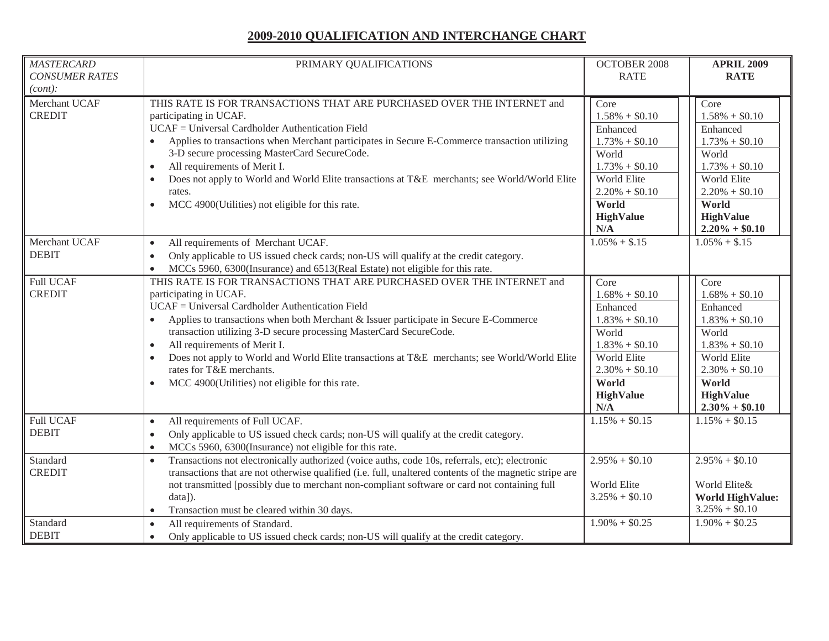| <b>MASTERCARD</b><br><b>CONSUMER RATES</b><br>(cont): | PRIMARY QUALIFICATIONS                                                                                                                                                                                                                                                                                                                                                                                                                                                                                                                                                                | <b>OCTOBER 2008</b><br><b>RATE</b>                                                                                                                           | <b>APRIL 2009</b><br><b>RATE</b>                                                                                                                                          |
|-------------------------------------------------------|---------------------------------------------------------------------------------------------------------------------------------------------------------------------------------------------------------------------------------------------------------------------------------------------------------------------------------------------------------------------------------------------------------------------------------------------------------------------------------------------------------------------------------------------------------------------------------------|--------------------------------------------------------------------------------------------------------------------------------------------------------------|---------------------------------------------------------------------------------------------------------------------------------------------------------------------------|
| Merchant UCAF<br><b>CREDIT</b>                        | THIS RATE IS FOR TRANSACTIONS THAT ARE PURCHASED OVER THE INTERNET and<br>participating in UCAF.<br>UCAF = Universal Cardholder Authentication Field<br>Applies to transactions when Merchant participates in Secure E-Commerce transaction utilizing<br>3-D secure processing MasterCard SecureCode.<br>All requirements of Merit I.<br>$\bullet$<br>Does not apply to World and World Elite transactions at T&E merchants; see World/World Elite<br>rates.<br>MCC 4900(Utilities) not eligible for this rate.<br>$\bullet$                                                          | Core<br>$1.58\% + $0.10$<br>Enhanced<br>$1.73\% + $0.10$<br>World<br>$1.73\% + $0.10$<br>World Elite<br>$2.20\% + $0.10$<br>World<br><b>HighValue</b><br>N/A | Core<br>$1.58\% + $0.10$<br>Enhanced<br>$1.73\% + $0.10$<br>World<br>$1.73\% + $0.10$<br>World Elite<br>$2.20\% + $0.10$<br>World<br><b>HighValue</b><br>$2.20\% + $0.10$ |
| Merchant UCAF<br><b>DEBIT</b>                         | All requirements of Merchant UCAF.<br>$\bullet$<br>Only applicable to US issued check cards; non-US will qualify at the credit category.<br>$\bullet$<br>MCCs 5960, 6300(Insurance) and 6513(Real Estate) not eligible for this rate.<br>$\bullet$                                                                                                                                                                                                                                                                                                                                    | $1.05\% + $.15$                                                                                                                                              | $1.05\% + $.15$                                                                                                                                                           |
| <b>Full UCAF</b><br><b>CREDIT</b>                     | THIS RATE IS FOR TRANSACTIONS THAT ARE PURCHASED OVER THE INTERNET and<br>participating in UCAF.<br>UCAF = Universal Cardholder Authentication Field<br>Applies to transactions when both Merchant & Issuer participate in Secure E-Commerce<br>$\bullet$<br>transaction utilizing 3-D secure processing MasterCard SecureCode.<br>All requirements of Merit I.<br>$\bullet$<br>Does not apply to World and World Elite transactions at T&E merchants; see World/World Elite<br>$\bullet$<br>rates for T&E merchants.<br>MCC 4900(Utilities) not eligible for this rate.<br>$\bullet$ | Core<br>$1.68\% + $0.10$<br>Enhanced<br>$1.83\% + $0.10$<br>World<br>$1.83\% + $0.10$<br>World Elite<br>$2.30\% + $0.10$<br>World<br><b>HighValue</b><br>N/A | Core<br>$1.68\% + $0.10$<br>Enhanced<br>$1.83\% + $0.10$<br>World<br>$1.83\% + $0.10$<br>World Elite<br>$2.30\% + $0.10$<br>World<br><b>HighValue</b><br>$2.30\% + $0.10$ |
| <b>Full UCAF</b><br><b>DEBIT</b>                      | All requirements of Full UCAF.<br>$\bullet$<br>Only applicable to US issued check cards; non-US will qualify at the credit category.<br>$\bullet$<br>MCCs 5960, 6300(Insurance) not eligible for this rate.<br>$\bullet$                                                                                                                                                                                                                                                                                                                                                              | $1.15\% + $0.15$                                                                                                                                             | $1.15\% + $0.15$                                                                                                                                                          |
| Standard<br><b>CREDIT</b>                             | Transactions not electronically authorized (voice auths, code 10s, referrals, etc); electronic<br>$\bullet$<br>transactions that are not otherwise qualified (i.e. full, unaltered contents of the magnetic stripe are<br>not transmitted [possibly due to merchant non-compliant software or card not containing full<br>data]).<br>Transaction must be cleared within 30 days.<br>$\bullet$                                                                                                                                                                                         | $2.95\% + $0.10$<br>World Elite<br>$3.25\% + $0.10$                                                                                                          | $2.95\% + $0.10$<br>World Elite&<br><b>World HighValue:</b><br>$3.25\% + $0.10$                                                                                           |
| Standard<br><b>DEBIT</b>                              | All requirements of Standard.<br>$\bullet$<br>Only applicable to US issued check cards; non-US will qualify at the credit category.<br>$\bullet$                                                                                                                                                                                                                                                                                                                                                                                                                                      | $1.90\% + $0.25$                                                                                                                                             | $1.90\% + $0.25$                                                                                                                                                          |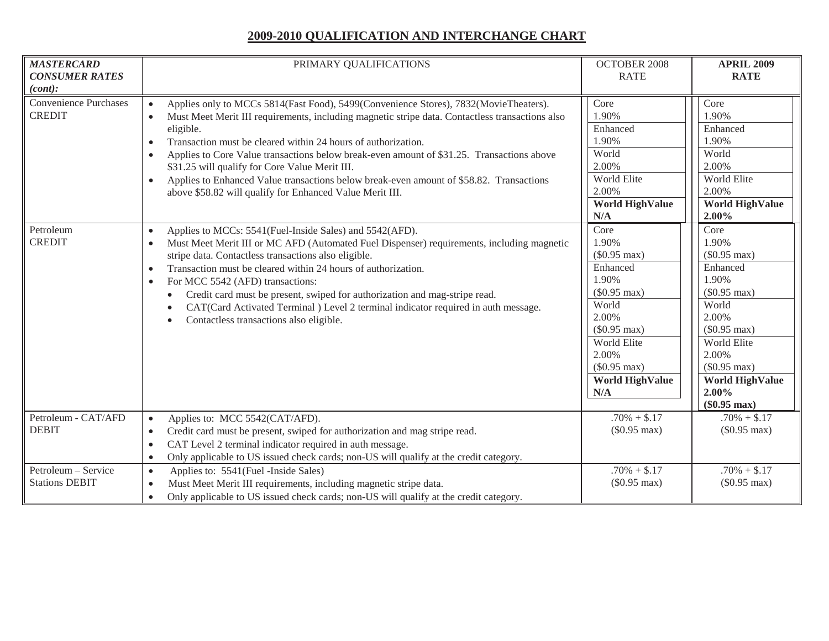| <b>MASTERCARD</b><br><b>CONSUMER RATES</b><br>(cont):                       | PRIMARY QUALIFICATIONS                                                                                                                                                                                                                                                                                                                                                                                                                                                                                                                                                                                                                                                                                                                                                                                                                                                                                                                                                                                                                                                                                                                                                                                                              | <b>OCTOBER 2008</b><br><b>RATE</b>                                                                                                                                                                                                                                                                                                    | <b>APRIL 2009</b><br><b>RATE</b>                                                                                                                                                                                                                                                                                                                                    |
|-----------------------------------------------------------------------------|-------------------------------------------------------------------------------------------------------------------------------------------------------------------------------------------------------------------------------------------------------------------------------------------------------------------------------------------------------------------------------------------------------------------------------------------------------------------------------------------------------------------------------------------------------------------------------------------------------------------------------------------------------------------------------------------------------------------------------------------------------------------------------------------------------------------------------------------------------------------------------------------------------------------------------------------------------------------------------------------------------------------------------------------------------------------------------------------------------------------------------------------------------------------------------------------------------------------------------------|---------------------------------------------------------------------------------------------------------------------------------------------------------------------------------------------------------------------------------------------------------------------------------------------------------------------------------------|---------------------------------------------------------------------------------------------------------------------------------------------------------------------------------------------------------------------------------------------------------------------------------------------------------------------------------------------------------------------|
| <b>Convenience Purchases</b><br><b>CREDIT</b><br>Petroleum<br><b>CREDIT</b> | Applies only to MCCs 5814(Fast Food), 5499(Convenience Stores), 7832(MovieTheaters).<br>$\bullet$<br>Must Meet Merit III requirements, including magnetic stripe data. Contactless transactions also<br>$\bullet$<br>eligible.<br>Transaction must be cleared within 24 hours of authorization.<br>$\bullet$<br>Applies to Core Value transactions below break-even amount of \$31.25. Transactions above<br>$\bullet$<br>\$31.25 will qualify for Core Value Merit III.<br>Applies to Enhanced Value transactions below break-even amount of \$58.82. Transactions<br>$\bullet$<br>above \$58.82 will qualify for Enhanced Value Merit III.<br>Applies to MCCs: 5541(Fuel-Inside Sales) and 5542(AFD).<br>$\bullet$<br>Must Meet Merit III or MC AFD (Automated Fuel Dispenser) requirements, including magnetic<br>$\bullet$<br>stripe data. Contactless transactions also eligible.<br>Transaction must be cleared within 24 hours of authorization.<br>$\bullet$<br>For MCC 5542 (AFD) transactions:<br>$\bullet$<br>Credit card must be present, swiped for authorization and mag-stripe read.<br>CAT(Card Activated Terminal) Level 2 terminal indicator required in auth message.<br>Contactless transactions also eligible. | Core<br>1.90%<br>Enhanced<br>1.90%<br>World<br>2.00%<br>World Elite<br>2.00%<br><b>World HighValue</b><br>N/A<br>Core<br>1.90%<br>$(\$0.95 \text{ max})$<br>Enhanced<br>1.90%<br>$(\$0.95 \text{ max})$<br>World<br>2.00%<br>$(\$0.95 \text{ max})$<br>World Elite<br>2.00%<br>$($0.95 \text{ max})$<br><b>World HighValue</b><br>N/A | Core<br>1.90%<br>Enhanced<br>1.90%<br>World<br>2.00%<br>World Elite<br>2.00%<br><b>World HighValue</b><br>2.00%<br>Core<br>1.90%<br>$(\$0.95 \text{ max})$<br>Enhanced<br>1.90%<br>$(\$0.95 \text{ max})$<br>World<br>2.00%<br>$($0.95 \text{ max})$<br>World Elite<br>2.00%<br>$(\$0.95 \text{ max})$<br><b>World HighValue</b><br>2.00%<br>$(\$0.95 \text{ max})$ |
| Petroleum - CAT/AFD<br><b>DEBIT</b>                                         | Applies to: MCC 5542(CAT/AFD).<br>$\bullet$<br>Credit card must be present, swiped for authorization and mag stripe read.<br>$\bullet$<br>CAT Level 2 terminal indicator required in auth message.<br>$\bullet$<br>Only applicable to US issued check cards; non-US will qualify at the credit category.<br>$\bullet$                                                                                                                                                                                                                                                                                                                                                                                                                                                                                                                                                                                                                                                                                                                                                                                                                                                                                                               | $.70\% + $.17$<br>$(\$0.95 \text{ max})$                                                                                                                                                                                                                                                                                              | $.70\% + $.17$<br>$($0.95 \text{ max})$                                                                                                                                                                                                                                                                                                                             |
| Petroleum - Service<br><b>Stations DEBIT</b>                                | Applies to: 5541(Fuel -Inside Sales)<br>$\bullet$<br>Must Meet Merit III requirements, including magnetic stripe data.<br>$\bullet$<br>Only applicable to US issued check cards; non-US will qualify at the credit category.<br>$\bullet$                                                                                                                                                                                                                                                                                                                                                                                                                                                                                                                                                                                                                                                                                                                                                                                                                                                                                                                                                                                           | $.70\% + $.17$<br>$(\$0.95 \text{ max})$                                                                                                                                                                                                                                                                                              | $.70\% + $.17$<br>$(\$0.95 \text{ max})$                                                                                                                                                                                                                                                                                                                            |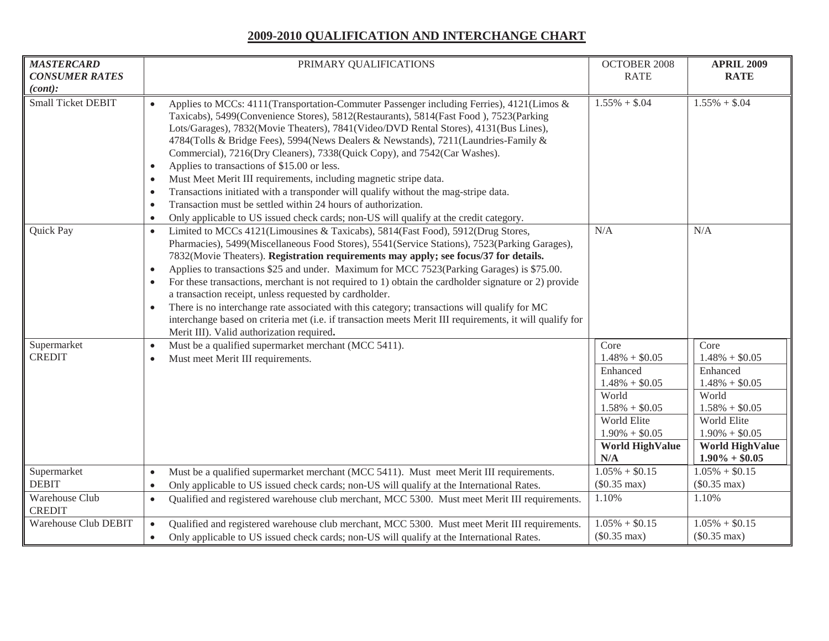| <b>MASTERCARD</b><br><b>CONSUMER RATES</b><br>(cont):          | PRIMARY QUALIFICATIONS                                                                                                                                                                                                                                                                                                                                                                                                                                                                                                                                                                                                                                                                                                                                                                                                                                                                         | <b>OCTOBER 2008</b><br><b>RATE</b>                                                                                                                        | <b>APRIL 2009</b><br><b>RATE</b>                                                                                                                                       |
|----------------------------------------------------------------|------------------------------------------------------------------------------------------------------------------------------------------------------------------------------------------------------------------------------------------------------------------------------------------------------------------------------------------------------------------------------------------------------------------------------------------------------------------------------------------------------------------------------------------------------------------------------------------------------------------------------------------------------------------------------------------------------------------------------------------------------------------------------------------------------------------------------------------------------------------------------------------------|-----------------------------------------------------------------------------------------------------------------------------------------------------------|------------------------------------------------------------------------------------------------------------------------------------------------------------------------|
| <b>Small Ticket DEBIT</b>                                      | Applies to MCCs: 4111(Transportation-Commuter Passenger including Ferries), 4121(Limos &<br>$\bullet$<br>Taxicabs), 5499(Convenience Stores), 5812(Restaurants), 5814(Fast Food), 7523(Parking<br>Lots/Garages), 7832(Movie Theaters), 7841(Video/DVD Rental Stores), 4131(Bus Lines),<br>4784(Tolls & Bridge Fees), 5994(News Dealers & Newstands), 7211(Laundries-Family &<br>Commercial), 7216(Dry Cleaners), 7338(Quick Copy), and 7542(Car Washes).<br>Applies to transactions of \$15.00 or less.<br>$\bullet$<br>Must Meet Merit III requirements, including magnetic stripe data.<br>$\bullet$<br>Transactions initiated with a transponder will qualify without the mag-stripe data.<br>$\bullet$<br>Transaction must be settled within 24 hours of authorization.<br>$\bullet$<br>Only applicable to US issued check cards; non-US will qualify at the credit category.<br>$\bullet$ | $1.55\% + $.04$                                                                                                                                           | $1.55\% + $.04$                                                                                                                                                        |
| Quick Pay                                                      | Limited to MCCs 4121(Limousines & Taxicabs), 5814(Fast Food), 5912(Drug Stores,<br>$\bullet$<br>Pharmacies), 5499(Miscellaneous Food Stores), 5541(Service Stations), 7523(Parking Garages),<br>7832(Movie Theaters). Registration requirements may apply; see focus/37 for details.<br>Applies to transactions \$25 and under. Maximum for MCC 7523(Parking Garages) is \$75.00.<br>$\bullet$<br>For these transactions, merchant is not required to 1) obtain the cardholder signature or 2) provide<br>$\bullet$<br>a transaction receipt, unless requested by cardholder.<br>There is no interchange rate associated with this category; transactions will qualify for MC<br>$\bullet$<br>interchange based on criteria met (i.e. if transaction meets Merit III requirements, it will qualify for<br>Merit III). Valid authorization required.                                            | N/A                                                                                                                                                       | N/A                                                                                                                                                                    |
| Supermarket<br><b>CREDIT</b>                                   | Must be a qualified supermarket merchant (MCC 5411).<br>$\bullet$<br>Must meet Merit III requirements.<br>$\bullet$                                                                                                                                                                                                                                                                                                                                                                                                                                                                                                                                                                                                                                                                                                                                                                            | Core<br>$1.48\% + $0.05$<br>Enhanced<br>$1.48\% + $0.05$<br>World<br>$1.58\% + $0.05$<br>World Elite<br>$1.90\% + $0.05$<br><b>World HighValue</b><br>N/A | Core<br>$1.48\% + $0.05$<br>Enhanced<br>$1.48\% + $0.05$<br>World<br>$1.58\% + $0.05$<br>World Elite<br>$1.90\% + $0.05$<br><b>World HighValue</b><br>$1.90\% + $0.05$ |
| Supermarket<br><b>DEBIT</b><br>Warehouse Club<br><b>CREDIT</b> | Must be a qualified supermarket merchant (MCC 5411). Must meet Merit III requirements.<br>$\bullet$<br>Only applicable to US issued check cards; non-US will qualify at the International Rates.<br>$\bullet$<br>Qualified and registered warehouse club merchant, MCC 5300. Must meet Merit III requirements.<br>$\bullet$                                                                                                                                                                                                                                                                                                                                                                                                                                                                                                                                                                    | $1.05\% + $0.15$<br>$(\$0.35 \text{ max})$<br>1.10%                                                                                                       | $1.05\% + $0.15$<br>$(\$0.35 \text{ max})$<br>1.10%                                                                                                                    |
| Warehouse Club DEBIT                                           | Qualified and registered warehouse club merchant, MCC 5300. Must meet Merit III requirements.<br>$\bullet$<br>Only applicable to US issued check cards; non-US will qualify at the International Rates.<br>$\bullet$                                                                                                                                                                                                                                                                                                                                                                                                                                                                                                                                                                                                                                                                           | $1.05\% + $0.15$<br>$($0.35 \text{ max})$                                                                                                                 | $1.05\% + $0.15$<br>$($0.35 \text{ max})$                                                                                                                              |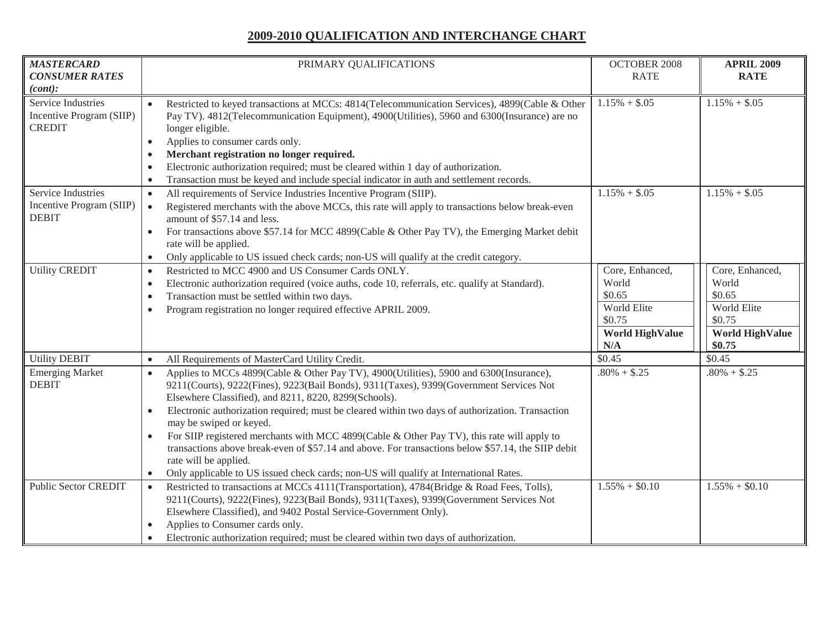| <b>MASTERCARD</b><br><b>CONSUMER RATES</b>                                 | PRIMARY QUALIFICATIONS                                                                                                                                                                                                                                                                                                                                                                                                                                                                                                                                                                                                                                                                                                   | <b>OCTOBER 2008</b><br><b>RATE</b>                                                           | <b>APRIL 2009</b><br><b>RATE</b>                                                                |
|----------------------------------------------------------------------------|--------------------------------------------------------------------------------------------------------------------------------------------------------------------------------------------------------------------------------------------------------------------------------------------------------------------------------------------------------------------------------------------------------------------------------------------------------------------------------------------------------------------------------------------------------------------------------------------------------------------------------------------------------------------------------------------------------------------------|----------------------------------------------------------------------------------------------|-------------------------------------------------------------------------------------------------|
| (cont):<br>Service Industries<br>Incentive Program (SIIP)<br><b>CREDIT</b> | Restricted to keyed transactions at MCCs: 4814(Telecommunication Services), 4899(Cable & Other<br>$\bullet$<br>Pay TV). 4812(Telecommunication Equipment), 4900(Utilities), 5960 and 6300(Insurance) are no<br>longer eligible.<br>Applies to consumer cards only.<br>$\bullet$<br>Merchant registration no longer required.<br>Electronic authorization required; must be cleared within 1 day of authorization.<br>Transaction must be keyed and include special indicator in auth and settlement records.                                                                                                                                                                                                             | $1.15\% + $.05$                                                                              | $1.15\% + $.05$                                                                                 |
| Service Industries<br>Incentive Program (SIIP)<br><b>DEBIT</b>             | All requirements of Service Industries Incentive Program (SIIP).<br>$\bullet$<br>Registered merchants with the above MCCs, this rate will apply to transactions below break-even<br>$\bullet$<br>amount of \$57.14 and less.<br>For transactions above \$57.14 for MCC 4899(Cable & Other Pay TV), the Emerging Market debit<br>$\bullet$<br>rate will be applied.<br>Only applicable to US issued check cards; non-US will qualify at the credit category.<br>$\bullet$                                                                                                                                                                                                                                                 | $1.15\% + $.05$                                                                              | $1.15\% + $.05$                                                                                 |
| <b>Utility CREDIT</b>                                                      | Restricted to MCC 4900 and US Consumer Cards ONLY.<br>$\bullet$<br>Electronic authorization required (voice auths, code 10, referrals, etc. qualify at Standard).<br>$\bullet$<br>Transaction must be settled within two days.<br>$\bullet$<br>Program registration no longer required effective APRIL 2009.<br>$\bullet$                                                                                                                                                                                                                                                                                                                                                                                                | Core, Enhanced,<br>World<br>\$0.65<br>World Elite<br>\$0.75<br><b>World HighValue</b><br>N/A | Core, Enhanced,<br>World<br>\$0.65<br>World Elite<br>\$0.75<br><b>World HighValue</b><br>\$0.75 |
| <b>Utility DEBIT</b>                                                       | All Requirements of MasterCard Utility Credit.<br>$\bullet$                                                                                                                                                                                                                                                                                                                                                                                                                                                                                                                                                                                                                                                              | \$0.45                                                                                       | \$0.45                                                                                          |
| <b>Emerging Market</b><br><b>DEBIT</b>                                     | Applies to MCCs 4899(Cable & Other Pay TV), 4900(Utilities), 5900 and 6300(Insurance),<br>$\bullet$<br>9211(Courts), 9222(Fines), 9223(Bail Bonds), 9311(Taxes), 9399(Government Services Not<br>Elsewhere Classified), and 8211, 8220, 8299(Schools).<br>Electronic authorization required; must be cleared within two days of authorization. Transaction<br>$\bullet$<br>may be swiped or keyed.<br>For SIIP registered merchants with MCC 4899(Cable & Other Pay TV), this rate will apply to<br>transactions above break-even of \$57.14 and above. For transactions below \$57.14, the SIIP debit<br>rate will be applied.<br>Only applicable to US issued check cards; non-US will qualify at International Rates. | $.80\% + $.25$                                                                               | $.80\% + $.25$                                                                                  |
| <b>Public Sector CREDIT</b>                                                | Restricted to transactions at MCCs 4111(Transportation), 4784(Bridge & Road Fees, Tolls),<br>$\bullet$<br>9211(Courts), 9222(Fines), 9223(Bail Bonds), 9311(Taxes), 9399(Government Services Not<br>Elsewhere Classified), and 9402 Postal Service-Government Only).<br>Applies to Consumer cards only.<br>Electronic authorization required; must be cleared within two days of authorization.                                                                                                                                                                                                                                                                                                                          | $1.55\% + $0.10$                                                                             | $1.55\% + $0.10$                                                                                |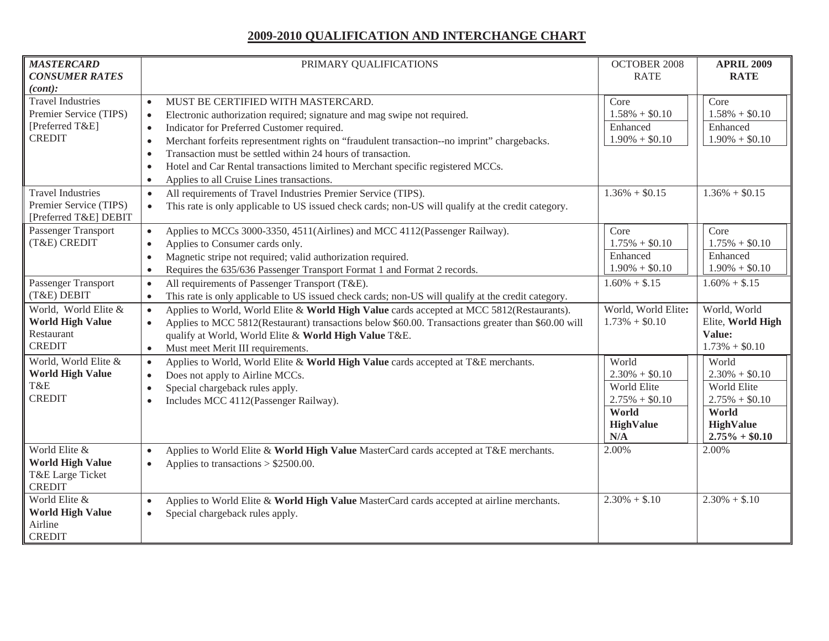| <b>MASTERCARD</b><br><b>CONSUMER RATES</b><br>(cont):                                  | PRIMARY QUALIFICATIONS                                                                                                                                                                                                                                                                                                                                                                                                                                                                                                                                | <b>OCTOBER 2008</b><br><b>RATE</b>                                                               | <b>APRIL 2009</b><br><b>RATE</b>                                                                              |
|----------------------------------------------------------------------------------------|-------------------------------------------------------------------------------------------------------------------------------------------------------------------------------------------------------------------------------------------------------------------------------------------------------------------------------------------------------------------------------------------------------------------------------------------------------------------------------------------------------------------------------------------------------|--------------------------------------------------------------------------------------------------|---------------------------------------------------------------------------------------------------------------|
| <b>Travel Industries</b><br>Premier Service (TIPS)<br>[Preferred T&E]<br><b>CREDIT</b> | MUST BE CERTIFIED WITH MASTERCARD.<br>$\bullet$<br>Electronic authorization required; signature and mag swipe not required.<br>$\bullet$<br>Indicator for Preferred Customer required.<br>$\bullet$<br>Merchant forfeits representment rights on "fraudulent transaction--no imprint" chargebacks.<br>$\bullet$<br>Transaction must be settled within 24 hours of transaction.<br>$\bullet$<br>Hotel and Car Rental transactions limited to Merchant specific registered MCCs.<br>$\bullet$<br>Applies to all Cruise Lines transactions.<br>$\bullet$ | Core<br>$1.58\% + $0.10$<br>Enhanced<br>$1.90\% + $0.10$                                         | Core<br>$1.58\% + $0.10$<br>Enhanced<br>$1.90\% + $0.10$                                                      |
| <b>Travel Industries</b><br>Premier Service (TIPS)<br>[Preferred T&E] DEBIT            | All requirements of Travel Industries Premier Service (TIPS).<br>$\bullet$<br>This rate is only applicable to US issued check cards; non-US will qualify at the credit category.<br>$\bullet$                                                                                                                                                                                                                                                                                                                                                         | $1.36\% + $0.15$                                                                                 | $1.36\% + $0.15$                                                                                              |
| Passenger Transport<br>(T&E) CREDIT                                                    | Applies to MCCs 3000-3350, 4511(Airlines) and MCC 4112(Passenger Railway).<br>$\bullet$<br>Applies to Consumer cards only.<br>$\bullet$<br>Magnetic stripe not required; valid authorization required.<br>$\bullet$<br>Requires the 635/636 Passenger Transport Format 1 and Format 2 records.<br>$\bullet$                                                                                                                                                                                                                                           | Core<br>$1.75\% + $0.10$<br>Enhanced<br>$1.90\% + $0.10$                                         | Core<br>$1.75\% + $0.10$<br>Enhanced<br>$1.90\% + $0.10$                                                      |
| Passenger Transport<br>(T&E) DEBIT                                                     | All requirements of Passenger Transport (T&E).<br>$\bullet$<br>This rate is only applicable to US issued check cards; non-US will qualify at the credit category.<br>$\bullet$                                                                                                                                                                                                                                                                                                                                                                        | $1.60\% + $.15$                                                                                  | $1.60\% + $.15$                                                                                               |
| World, World Elite &<br><b>World High Value</b><br>Restaurant<br><b>CREDIT</b>         | Applies to World, World Elite & World High Value cards accepted at MCC 5812(Restaurants).<br>$\bullet$<br>Applies to MCC 5812(Restaurant) transactions below \$60.00. Transactions greater than \$60.00 will<br>$\bullet$<br>qualify at World, World Elite & World High Value T&E.<br>Must meet Merit III requirements.<br>$\bullet$                                                                                                                                                                                                                  | World, World Elite:<br>$1.73\% + $0.10$                                                          | World, World<br>Elite, World High<br>Value:<br>$1.73\% + $0.10$                                               |
| World, World Elite &<br><b>World High Value</b><br>T&E<br><b>CREDIT</b>                | Applies to World, World Elite & World High Value cards accepted at T&E merchants.<br>$\bullet$<br>Does not apply to Airline MCCs.<br>$\bullet$<br>Special chargeback rules apply.<br>$\bullet$<br>Includes MCC 4112(Passenger Railway).<br>$\bullet$                                                                                                                                                                                                                                                                                                  | World<br>$2.30\% + $0.10$<br>World Elite<br>$2.75\% + $0.10$<br>World<br><b>HighValue</b><br>N/A | World<br>$2.30\% + $0.10$<br>World Elite<br>$2.75\% + $0.10$<br>World<br><b>HighValue</b><br>$2.75\% + $0.10$ |
| World Elite &<br><b>World High Value</b><br>T&E Large Ticket<br><b>CREDIT</b>          | Applies to World Elite & World High Value MasterCard cards accepted at T&E merchants.<br>$\bullet$<br>Applies to transactions $> $2500.00$ .<br>$\bullet$                                                                                                                                                                                                                                                                                                                                                                                             | 2.00%                                                                                            | 2.00%                                                                                                         |
| World Elite &<br><b>World High Value</b><br>Airline<br><b>CREDIT</b>                   | Applies to World Elite & World High Value MasterCard cards accepted at airline merchants.<br>$\bullet$<br>Special chargeback rules apply.<br>$\bullet$                                                                                                                                                                                                                                                                                                                                                                                                | $2.30\% + $.10$                                                                                  | $2.30\% + $.10$                                                                                               |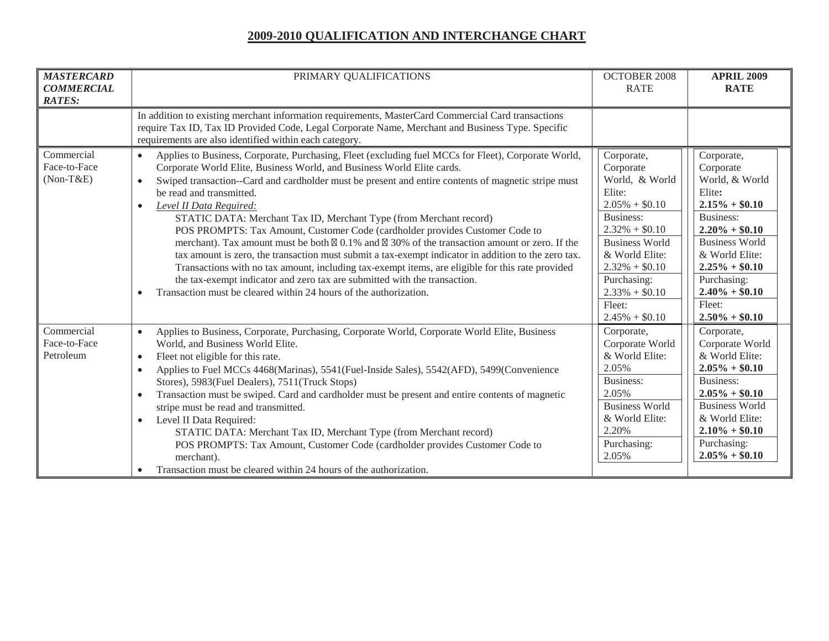| <b>MASTERCARD</b><br><b>COMMERCIAL</b><br><b>RATES:</b> | PRIMARY QUALIFICATIONS                                                                                                                                                                                                                                                                                                                                                                                                                                                                                                                                                                                                                                                                                                                                                                                                                                                                                                                                                                                                                  | <b>OCTOBER 2008</b><br><b>RATE</b>                                                                                                                                                                                                       | <b>APRIL 2009</b><br><b>RATE</b>                                                                                                                                                                                                                |
|---------------------------------------------------------|-----------------------------------------------------------------------------------------------------------------------------------------------------------------------------------------------------------------------------------------------------------------------------------------------------------------------------------------------------------------------------------------------------------------------------------------------------------------------------------------------------------------------------------------------------------------------------------------------------------------------------------------------------------------------------------------------------------------------------------------------------------------------------------------------------------------------------------------------------------------------------------------------------------------------------------------------------------------------------------------------------------------------------------------|------------------------------------------------------------------------------------------------------------------------------------------------------------------------------------------------------------------------------------------|-------------------------------------------------------------------------------------------------------------------------------------------------------------------------------------------------------------------------------------------------|
|                                                         | In addition to existing merchant information requirements, MasterCard Commercial Card transactions<br>require Tax ID, Tax ID Provided Code, Legal Corporate Name, Merchant and Business Type. Specific<br>requirements are also identified within each category.                                                                                                                                                                                                                                                                                                                                                                                                                                                                                                                                                                                                                                                                                                                                                                        |                                                                                                                                                                                                                                          |                                                                                                                                                                                                                                                 |
| Commercial<br>Face-to-Face<br>$(Non-T&E)$               | Applies to Business, Corporate, Purchasing, Fleet (excluding fuel MCCs for Fleet), Corporate World,<br>$\bullet$<br>Corporate World Elite, Business World, and Business World Elite cards.<br>Swiped transaction--Card and cardholder must be present and entire contents of magnetic stripe must<br>$\bullet$<br>be read and transmitted.<br>Level II Data Required:<br>$\bullet$<br>STATIC DATA: Merchant Tax ID, Merchant Type (from Merchant record)<br>POS PROMPTS: Tax Amount, Customer Code (cardholder provides Customer Code to<br>merchant). Tax amount must be both $\boxtimes$ 0.1% and $\boxtimes$ 30% of the transaction amount or zero. If the<br>tax amount is zero, the transaction must submit a tax-exempt indicator in addition to the zero tax.<br>Transactions with no tax amount, including tax-exempt items, are eligible for this rate provided<br>the tax-exempt indicator and zero tax are submitted with the transaction.<br>Transaction must be cleared within 24 hours of the authorization.<br>$\bullet$ | Corporate,<br>Corporate<br>World, & World<br>Elite:<br>$2.05\% + $0.10$<br>Business:<br>$2.32\% + $0.10$<br><b>Business World</b><br>& World Elite:<br>$2.32\% + $0.10$<br>Purchasing:<br>$2.33\% + $0.10$<br>Fleet:<br>$2.45\% + $0.10$ | Corporate,<br>Corporate<br>World, & World<br>Elite:<br>$2.15\% + $0.10$<br><b>Business:</b><br>$2.20\% + $0.10$<br><b>Business World</b><br>& World Elite:<br>$2.25\% + $0.10$<br>Purchasing:<br>$2.40\% + $0.10$<br>Fleet:<br>$2.50\% + $0.10$ |
| Commercial<br>Face-to-Face<br>Petroleum                 | Applies to Business, Corporate, Purchasing, Corporate World, Corporate World Elite, Business<br>$\bullet$<br>World, and Business World Elite.<br>Fleet not eligible for this rate.<br>$\bullet$<br>Applies to Fuel MCCs 4468(Marinas), 5541(Fuel-Inside Sales), 5542(AFD), 5499(Convenience<br>$\bullet$<br>Stores), 5983(Fuel Dealers), 7511(Truck Stops)<br>Transaction must be swiped. Card and cardholder must be present and entire contents of magnetic<br>$\bullet$<br>stripe must be read and transmitted.<br>Level II Data Required:<br>$\bullet$<br>STATIC DATA: Merchant Tax ID, Merchant Type (from Merchant record)<br>POS PROMPTS: Tax Amount, Customer Code (cardholder provides Customer Code to<br>merchant).<br>Transaction must be cleared within 24 hours of the authorization.                                                                                                                                                                                                                                     | Corporate,<br>Corporate World<br>& World Elite:<br>2.05%<br><b>Business:</b><br>2.05%<br><b>Business World</b><br>& World Elite:<br>2.20%<br>Purchasing:<br>2.05%                                                                        | Corporate,<br>Corporate World<br>& World Elite:<br>$2.05\% + $0.10$<br>Business:<br>$2.05\% + $0.10$<br><b>Business World</b><br>& World Elite:<br>$2.10\% + $0.10$<br>Purchasing:<br>$2.05\% + $0.10$                                          |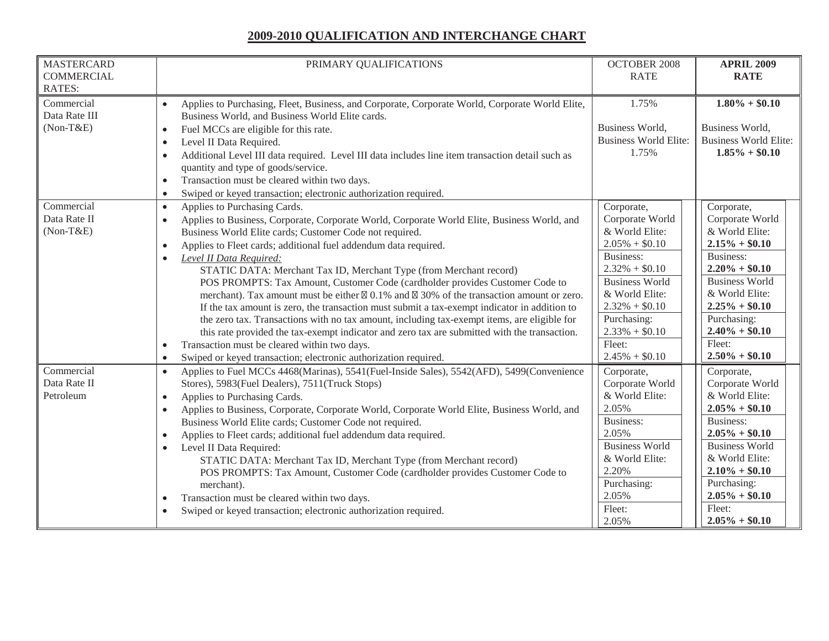| <b>MASTERCARD</b>                                           | PRIMARY QUALIFICATIONS                                                                                                                                                                                                                                                                                                                                                                                                                                                                                                                                                                                                                                                                                                                                                                                                                                                                                                                                                                                                                                     | <b>OCTOBER 2008</b>                                                                                                                                                                                                                  | <b>APRIL 2009</b>                                                                                                                                                                                                                           |
|-------------------------------------------------------------|------------------------------------------------------------------------------------------------------------------------------------------------------------------------------------------------------------------------------------------------------------------------------------------------------------------------------------------------------------------------------------------------------------------------------------------------------------------------------------------------------------------------------------------------------------------------------------------------------------------------------------------------------------------------------------------------------------------------------------------------------------------------------------------------------------------------------------------------------------------------------------------------------------------------------------------------------------------------------------------------------------------------------------------------------------|--------------------------------------------------------------------------------------------------------------------------------------------------------------------------------------------------------------------------------------|---------------------------------------------------------------------------------------------------------------------------------------------------------------------------------------------------------------------------------------------|
| <b>COMMERCIAL</b>                                           |                                                                                                                                                                                                                                                                                                                                                                                                                                                                                                                                                                                                                                                                                                                                                                                                                                                                                                                                                                                                                                                            | <b>RATE</b>                                                                                                                                                                                                                          | <b>RATE</b>                                                                                                                                                                                                                                 |
| <b>RATES:</b><br>Commercial<br>Data Rate III<br>$(Non-T&E)$ | Applies to Purchasing, Fleet, Business, and Corporate, Corporate World, Corporate World Elite,<br>$\bullet$<br>Business World, and Business World Elite cards.<br>Fuel MCCs are eligible for this rate.<br>$\bullet$<br>Level II Data Required.<br>$\bullet$<br>Additional Level III data required. Level III data includes line item transaction detail such as<br>$\bullet$<br>quantity and type of goods/service.                                                                                                                                                                                                                                                                                                                                                                                                                                                                                                                                                                                                                                       | 1.75%<br>Business World,<br><b>Business World Elite:</b><br>1.75%                                                                                                                                                                    | $1.80\% + $0.10$<br>Business World,<br><b>Business World Elite:</b><br>$1.85\% + $0.10$                                                                                                                                                     |
|                                                             | Transaction must be cleared within two days.<br>$\bullet$<br>Swiped or keyed transaction; electronic authorization required.<br>$\bullet$                                                                                                                                                                                                                                                                                                                                                                                                                                                                                                                                                                                                                                                                                                                                                                                                                                                                                                                  |                                                                                                                                                                                                                                      |                                                                                                                                                                                                                                             |
| Commercial<br>Data Rate II<br>$(Non-T&E)$                   | Applies to Purchasing Cards.<br>$\bullet$<br>Applies to Business, Corporate, Corporate World, Corporate World Elite, Business World, and<br>$\bullet$<br>Business World Elite cards; Customer Code not required.<br>Applies to Fleet cards; additional fuel addendum data required.<br>$\bullet$<br>Level II Data Required:<br>$\bullet$<br>STATIC DATA: Merchant Tax ID, Merchant Type (from Merchant record)<br>POS PROMPTS: Tax Amount, Customer Code (cardholder provides Customer Code to<br>merchant). Tax amount must be either $\boxtimes$ 0.1% and $\boxtimes$ 30% of the transaction amount or zero.<br>If the tax amount is zero, the transaction must submit a tax-exempt indicator in addition to<br>the zero tax. Transactions with no tax amount, including tax-exempt items, are eligible for<br>this rate provided the tax-exempt indicator and zero tax are submitted with the transaction.<br>Transaction must be cleared within two days.<br>$\bullet$<br>Swiped or keyed transaction; electronic authorization required.<br>$\bullet$ | Corporate,<br>Corporate World<br>& World Elite:<br>$2.05\% + $0.10$<br>Business:<br>$2.32\% + $0.10$<br><b>Business World</b><br>& World Elite:<br>$2.32\% + $0.10$<br>Purchasing:<br>$2.33\% + $0.10$<br>Fleet:<br>$2.45\% + $0.10$ | Corporate,<br>Corporate World<br>& World Elite:<br>$2.15\% + $0.10$<br><b>Business:</b><br>$2.20\% + $0.10$<br><b>Business World</b><br>& World Elite:<br>$2.25\% + $0.10$<br>Purchasing:<br>$2.40\% + $0.10$<br>Fleet:<br>$2.50\% + $0.10$ |
| Commercial<br>Data Rate II<br>Petroleum                     | Applies to Fuel MCCs 4468(Marinas), 5541(Fuel-Inside Sales), 5542(AFD), 5499(Convenience<br>$\bullet$<br>Stores), 5983(Fuel Dealers), 7511(Truck Stops)<br>Applies to Purchasing Cards.<br>$\bullet$<br>Applies to Business, Corporate, Corporate World, Corporate World Elite, Business World, and<br>$\bullet$<br>Business World Elite cards; Customer Code not required.<br>Applies to Fleet cards; additional fuel addendum data required.<br>$\bullet$<br>Level II Data Required:<br>$\bullet$<br>STATIC DATA: Merchant Tax ID, Merchant Type (from Merchant record)<br>POS PROMPTS: Tax Amount, Customer Code (cardholder provides Customer Code to<br>merchant).<br>Transaction must be cleared within two days.<br>$\bullet$<br>Swiped or keyed transaction; electronic authorization required.<br>$\bullet$                                                                                                                                                                                                                                       | Corporate,<br>Corporate World<br>& World Elite:<br>2.05%<br>Business:<br>2.05%<br><b>Business World</b><br>& World Elite:<br>2.20%<br>Purchasing:<br>2.05%<br>Fleet:<br>2.05%                                                        | Corporate,<br>Corporate World<br>& World Elite:<br>$2.05\% + $0.10$<br><b>Business:</b><br>$2.05\% + $0.10$<br><b>Business World</b><br>& World Elite:<br>$2.10\% + $0.10$<br>Purchasing:<br>$2.05\% + $0.10$<br>Fleet:<br>$2.05\% + $0.10$ |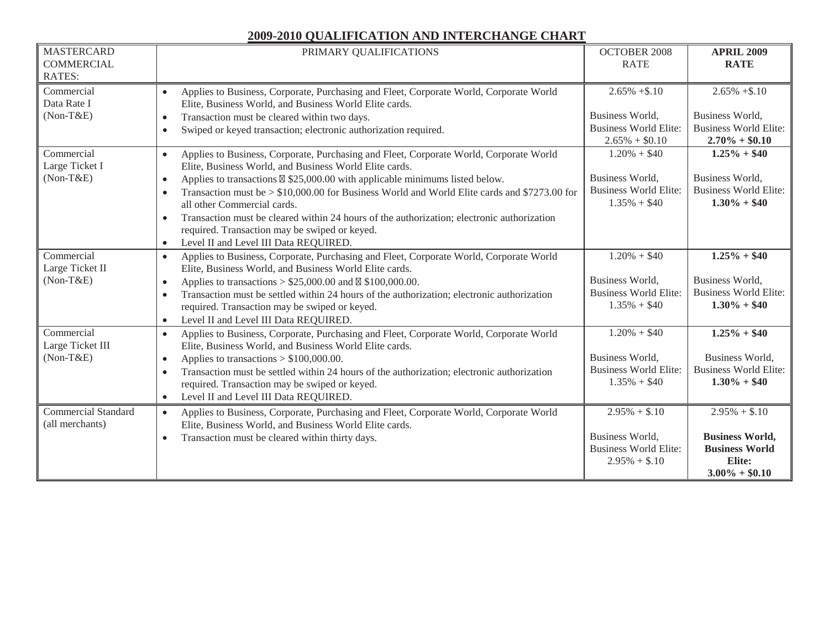| <b>MASTERCARD</b><br><b>COMMERCIAL</b><br><b>RATES:</b> | PRIMARY QUALIFICATIONS                                                                                                                                                                                                                                                                                                                                                                                                                                                                                                                                                                                                              | OCTOBER 2008<br><b>RATE</b>                                                            | <b>APRIL 2009</b><br><b>RATE</b>                                                                 |
|---------------------------------------------------------|-------------------------------------------------------------------------------------------------------------------------------------------------------------------------------------------------------------------------------------------------------------------------------------------------------------------------------------------------------------------------------------------------------------------------------------------------------------------------------------------------------------------------------------------------------------------------------------------------------------------------------------|----------------------------------------------------------------------------------------|--------------------------------------------------------------------------------------------------|
| Commercial<br>Data Rate I<br>$(Non-T&E)$                | Applies to Business, Corporate, Purchasing and Fleet, Corporate World, Corporate World<br>$\bullet$<br>Elite, Business World, and Business World Elite cards.<br>Transaction must be cleared within two days.<br>$\bullet$<br>Swiped or keyed transaction; electronic authorization required.<br>$\bullet$                                                                                                                                                                                                                                                                                                                          | $2.65\% + $.10$<br>Business World,<br><b>Business World Elite:</b><br>$2.65\% + $0.10$ | $2.65\% + $.10$<br>Business World,<br><b>Business World Elite:</b><br>$2.70\% + $0.10$           |
| Commercial<br>Large Ticket I<br>$(Non-T&E)$             | Applies to Business, Corporate, Purchasing and Fleet, Corporate World, Corporate World<br>$\bullet$<br>Elite, Business World, and Business World Elite cards.<br>Applies to transactions $\boxtimes$ \$25,000.00 with applicable minimums listed below.<br>$\bullet$<br>Transaction must be $> $10,000.00$ for Business World and World Elite cards and \$7273.00 for<br>$\bullet$<br>all other Commercial cards.<br>Transaction must be cleared within 24 hours of the authorization; electronic authorization<br>$\bullet$<br>required. Transaction may be swiped or keyed.<br>Level II and Level III Data REQUIRED.<br>$\bullet$ | $1.20\% + $40$<br>Business World,<br><b>Business World Elite:</b><br>$1.35\% + $40$    | $1.25\% + $40$<br>Business World,<br><b>Business World Elite:</b><br>$1.30\% + $40$              |
| Commercial<br>Large Ticket II<br>$(Non-T&E)$            | Applies to Business, Corporate, Purchasing and Fleet, Corporate World, Corporate World<br>$\bullet$<br>Elite, Business World, and Business World Elite cards.<br>Applies to transactions > $$25,000.00$ and $$100,000.00$ .<br>$\bullet$<br>Transaction must be settled within 24 hours of the authorization; electronic authorization<br>$\bullet$<br>required. Transaction may be swiped or keyed.<br>Level II and Level III Data REQUIRED.<br>$\bullet$                                                                                                                                                                          | $1.20\% + $40$<br>Business World,<br><b>Business World Elite:</b><br>$1.35\% + $40$    | $1.25\% + $40$<br>Business World,<br><b>Business World Elite:</b><br>$1.30\% + $40$              |
| Commercial<br>Large Ticket III<br>$(Non-T&E)$           | Applies to Business, Corporate, Purchasing and Fleet, Corporate World, Corporate World<br>$\bullet$<br>Elite, Business World, and Business World Elite cards.<br>Applies to transactions $> $100,000.00$ .<br>$\bullet$<br>Transaction must be settled within 24 hours of the authorization; electronic authorization<br>$\bullet$<br>required. Transaction may be swiped or keyed.<br>Level II and Level III Data REQUIRED.<br>$\bullet$                                                                                                                                                                                           | $1.20\% + $40$<br>Business World,<br><b>Business World Elite:</b><br>$1.35\% + $40$    | $1.25\% + $40$<br>Business World,<br><b>Business World Elite:</b><br>$1.30\% + $40$              |
| <b>Commercial Standard</b><br>(all merchants)           | Applies to Business, Corporate, Purchasing and Fleet, Corporate World, Corporate World<br>$\bullet$<br>Elite, Business World, and Business World Elite cards.<br>Transaction must be cleared within thirty days.<br>$\bullet$                                                                                                                                                                                                                                                                                                                                                                                                       | $2.95\% + $.10$<br>Business World,<br><b>Business World Elite:</b><br>$2.95\% + $.10$  | $2.95\% + $.10$<br><b>Business World,</b><br><b>Business World</b><br>Elite:<br>$3.00\% + $0.10$ |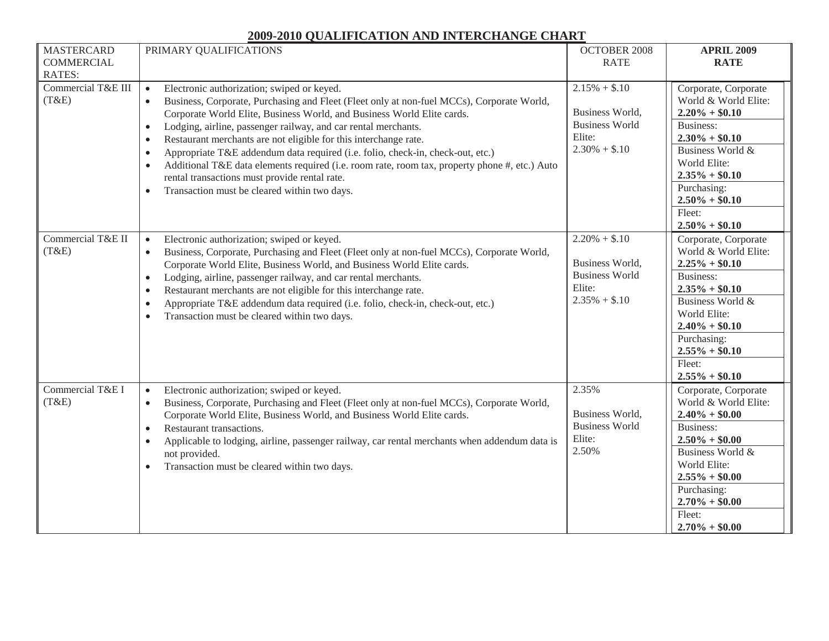| <b>MASTERCARD</b><br><b>COMMERCIAL</b><br><b>RATES:</b> | PRIMARY QUALIFICATIONS                                                                                                                                                                                                                                                                                                                                                                                                                                                                                                                                                                                                                                                                                                                 | <b>OCTOBER 2008</b><br><b>RATE</b>                                                       | <b>APRIL 2009</b><br><b>RATE</b>                                                                                                                                                                                                  |
|---------------------------------------------------------|----------------------------------------------------------------------------------------------------------------------------------------------------------------------------------------------------------------------------------------------------------------------------------------------------------------------------------------------------------------------------------------------------------------------------------------------------------------------------------------------------------------------------------------------------------------------------------------------------------------------------------------------------------------------------------------------------------------------------------------|------------------------------------------------------------------------------------------|-----------------------------------------------------------------------------------------------------------------------------------------------------------------------------------------------------------------------------------|
| Commercial T&E III<br>(T&E)                             | Electronic authorization; swiped or keyed.<br>$\bullet$<br>Business, Corporate, Purchasing and Fleet (Fleet only at non-fuel MCCs), Corporate World,<br>$\bullet$<br>Corporate World Elite, Business World, and Business World Elite cards.<br>Lodging, airline, passenger railway, and car rental merchants.<br>$\bullet$<br>Restaurant merchants are not eligible for this interchange rate.<br>$\bullet$<br>Appropriate T&E addendum data required (i.e. folio, check-in, check-out, etc.)<br>$\bullet$<br>Additional T&E data elements required (i.e. room rate, room tax, property phone #, etc.) Auto<br>$\bullet$<br>rental transactions must provide rental rate.<br>Transaction must be cleared within two days.<br>$\bullet$ | $2.15\% + $.10$<br>Business World,<br><b>Business World</b><br>Elite:<br>$2.30\% + $.10$ | Corporate, Corporate<br>World & World Elite:<br>$2.20\% + $0.10$<br><b>Business:</b><br>$2.30\% + $0.10$<br>Business World &<br>World Elite:<br>$2.35\% + $0.10$<br>Purchasing:<br>$2.50\% + $0.10$<br>Fleet:<br>$2.50\% + $0.10$ |
| Commercial T&E II<br>(T&E)                              | Electronic authorization; swiped or keyed.<br>$\bullet$<br>Business, Corporate, Purchasing and Fleet (Fleet only at non-fuel MCCs), Corporate World,<br>$\bullet$<br>Corporate World Elite, Business World, and Business World Elite cards.<br>Lodging, airline, passenger railway, and car rental merchants.<br>$\bullet$<br>Restaurant merchants are not eligible for this interchange rate.<br>$\bullet$<br>Appropriate T&E addendum data required (i.e. folio, check-in, check-out, etc.)<br>$\bullet$<br>Transaction must be cleared within two days.<br>$\bullet$                                                                                                                                                                | $2.20\% + $.10$<br>Business World,<br><b>Business World</b><br>Elite:<br>$2.35\% + $.10$ | Corporate, Corporate<br>World & World Elite:<br>$2.25\% + $0.10$<br><b>Business:</b><br>$2.35\% + $0.10$<br>Business World &<br>World Elite:<br>$2.40\% + $0.10$<br>Purchasing:<br>$2.55\% + $0.10$<br>Fleet:<br>$2.55\% + $0.10$ |
| Commercial T&E I<br>(T&E)                               | Electronic authorization; swiped or keyed.<br>$\bullet$<br>Business, Corporate, Purchasing and Fleet (Fleet only at non-fuel MCCs), Corporate World,<br>$\bullet$<br>Corporate World Elite, Business World, and Business World Elite cards.<br>Restaurant transactions.<br>$\bullet$<br>Applicable to lodging, airline, passenger railway, car rental merchants when addendum data is<br>$\bullet$<br>not provided.<br>Transaction must be cleared within two days.<br>$\bullet$                                                                                                                                                                                                                                                       | 2.35%<br>Business World,<br><b>Business World</b><br>Elite:<br>2.50%                     | Corporate, Corporate<br>World & World Elite:<br>$2.40\% + $0.00$<br><b>Business:</b><br>$2.50\% + $0.00$<br>Business World &<br>World Elite:<br>$2.55\% + $0.00$<br>Purchasing:<br>$2.70\% + $0.00$<br>Fleet:<br>$2.70\% + $0.00$ |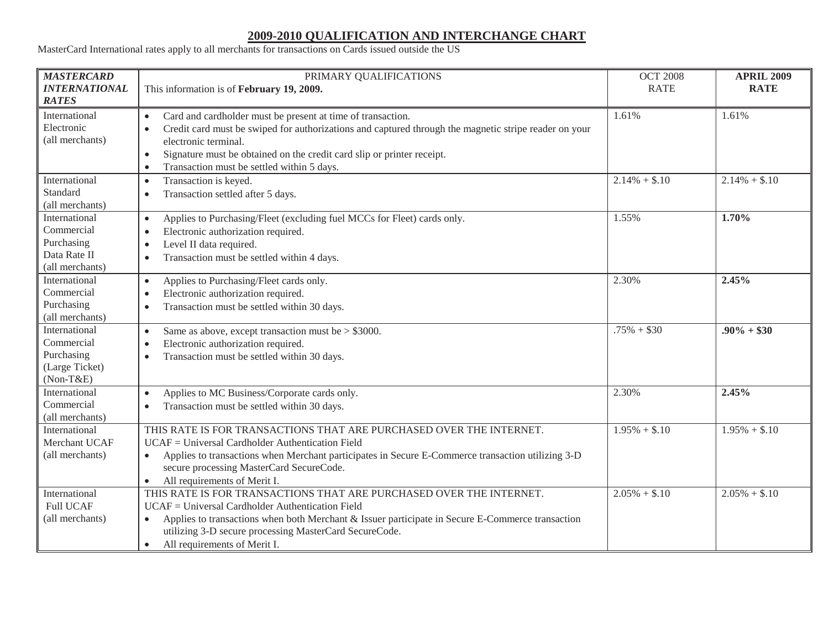MasterCard International rates apply to all merchants for transactions on Cards issued outside the US

| <b>MASTERCARD</b><br><b>INTERNATIONAL</b><br><b>RATES</b>                    | PRIMARY QUALIFICATIONS<br>This information is of February 19, 2009.                                                                                                                                                                                                                                                                                                      | <b>OCT 2008</b><br><b>RATE</b> | <b>APRIL 2009</b><br><b>RATE</b> |
|------------------------------------------------------------------------------|--------------------------------------------------------------------------------------------------------------------------------------------------------------------------------------------------------------------------------------------------------------------------------------------------------------------------------------------------------------------------|--------------------------------|----------------------------------|
| International<br>Electronic<br>(all merchants)                               | Card and cardholder must be present at time of transaction.<br>$\bullet$<br>Credit card must be swiped for authorizations and captured through the magnetic stripe reader on your<br>$\bullet$<br>electronic terminal.<br>Signature must be obtained on the credit card slip or printer receipt.<br>$\bullet$<br>Transaction must be settled within 5 days.<br>$\bullet$ | 1.61%                          | 1.61%                            |
| International<br>Standard<br>(all merchants)                                 | Transaction is keyed.<br>$\bullet$<br>Transaction settled after 5 days.<br>$\bullet$                                                                                                                                                                                                                                                                                     | $2.14\% + $.10$                | $2.14\% + $.10$                  |
| International<br>Commercial<br>Purchasing<br>Data Rate II<br>(all merchants) | Applies to Purchasing/Fleet (excluding fuel MCCs for Fleet) cards only.<br>$\bullet$<br>Electronic authorization required.<br>$\bullet$<br>Level II data required.<br>$\bullet$<br>Transaction must be settled within 4 days.<br>$\bullet$                                                                                                                               | 1.55%                          | 1.70%                            |
| International<br>Commercial<br>Purchasing<br>(all merchants)                 | Applies to Purchasing/Fleet cards only.<br>$\bullet$<br>Electronic authorization required.<br>$\bullet$<br>Transaction must be settled within 30 days.<br>$\bullet$                                                                                                                                                                                                      | 2.30%                          | 2.45%                            |
| International<br>Commercial<br>Purchasing<br>(Large Ticket)<br>$(Non-T&E)$   | Same as above, except transaction must be $>$ \$3000.<br>$\bullet$<br>Electronic authorization required.<br>$\bullet$<br>Transaction must be settled within 30 days.<br>$\bullet$                                                                                                                                                                                        | $.75\% + $30$                  | $.90\% + $30$                    |
| International<br>Commercial<br>(all merchants)                               | Applies to MC Business/Corporate cards only.<br>$\bullet$<br>Transaction must be settled within 30 days.<br>$\bullet$                                                                                                                                                                                                                                                    | 2.30%                          | 2.45%                            |
| International<br>Merchant UCAF<br>(all merchants)                            | THIS RATE IS FOR TRANSACTIONS THAT ARE PURCHASED OVER THE INTERNET.<br>UCAF = Universal Cardholder Authentication Field<br>Applies to transactions when Merchant participates in Secure E-Commerce transaction utilizing 3-D<br>secure processing MasterCard SecureCode.<br>All requirements of Merit I.                                                                 | $1.95\% + $.10$                | $1.95\% + $.10$                  |
| International<br><b>Full UCAF</b><br>(all merchants)                         | THIS RATE IS FOR TRANSACTIONS THAT ARE PURCHASED OVER THE INTERNET.<br>UCAF = Universal Cardholder Authentication Field<br>Applies to transactions when both Merchant & Issuer participate in Secure E-Commerce transaction<br>$\bullet$<br>utilizing 3-D secure processing MasterCard SecureCode.<br>All requirements of Merit I.<br>$\bullet$                          | $2.05\% + $.10$                | $2.05\% + $.10$                  |